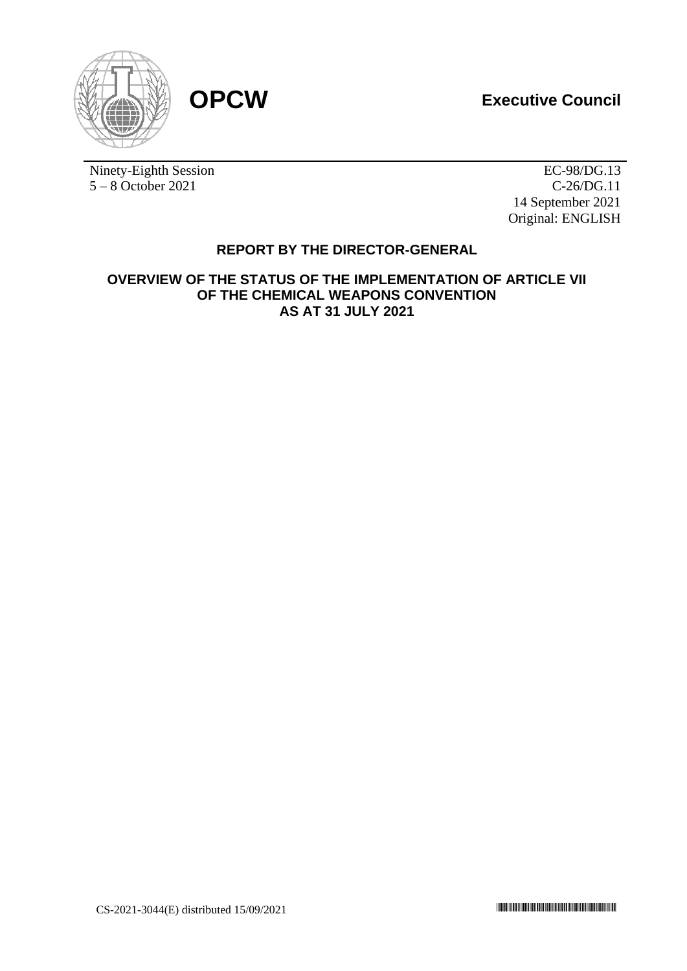# **OPCW Executive Council**



Ninety-Eighth Session 5 – 8 October 2021

EC-98/DG.13 C-26/DG.11 14 September 2021 Original: ENGLISH

# **REPORT BY THE DIRECTOR-GENERAL**

**OVERVIEW OF THE STATUS OF THE IMPLEMENTATION OF ARTICLE VII OF THE CHEMICAL WEAPONS CONVENTION AS AT 31 JULY 2021**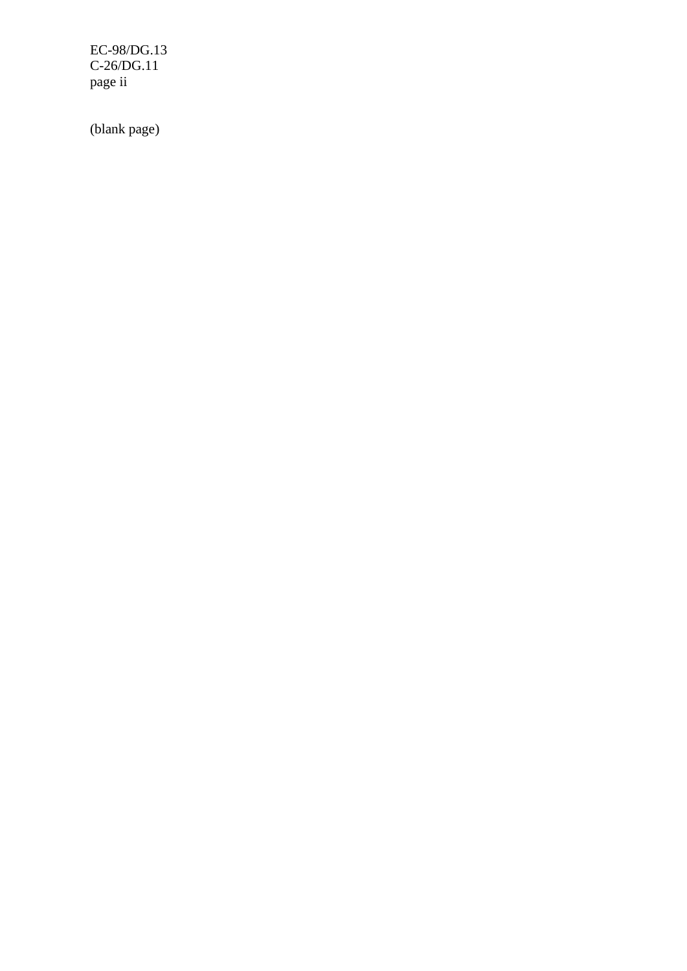EC-98/DG.13 C-26/DG.11 page ii

(blank page)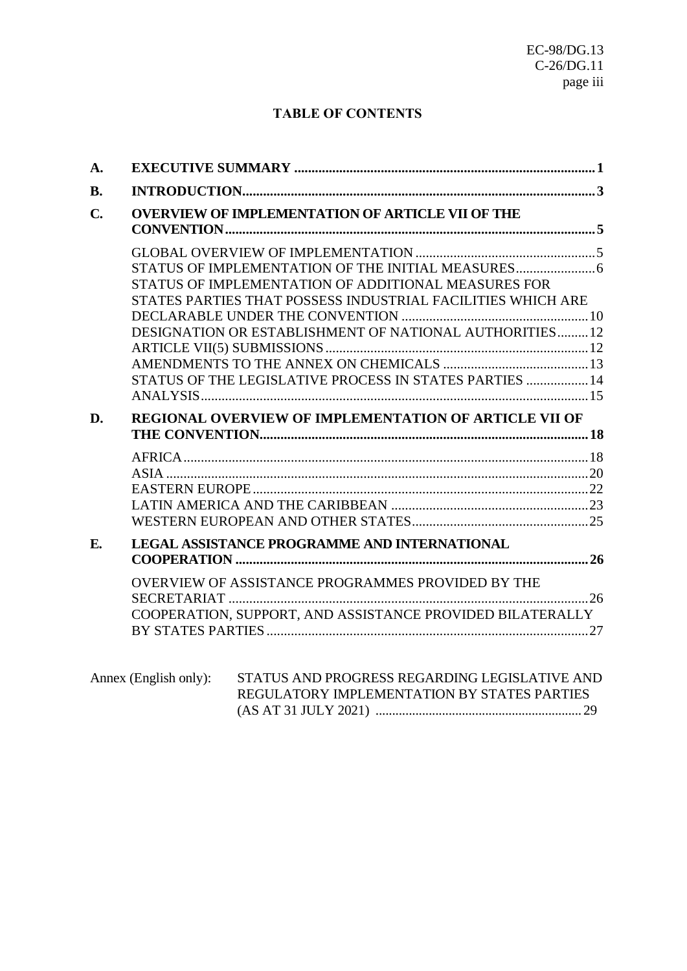# **TABLE OF CONTENTS**

| A.           |                                                                                                                                                                                                                                         |  |
|--------------|-----------------------------------------------------------------------------------------------------------------------------------------------------------------------------------------------------------------------------------------|--|
| <b>B.</b>    |                                                                                                                                                                                                                                         |  |
| $\mathbf{C}$ | <b>OVERVIEW OF IMPLEMENTATION OF ARTICLE VII OF THE</b>                                                                                                                                                                                 |  |
|              | STATUS OF IMPLEMENTATION OF ADDITIONAL MEASURES FOR<br>STATES PARTIES THAT POSSESS INDUSTRIAL FACILITIES WHICH ARE<br>DESIGNATION OR ESTABLISHMENT OF NATIONAL AUTHORITIES12<br>STATUS OF THE LEGISLATIVE PROCESS IN STATES PARTIES  14 |  |
| D.           | <b>REGIONAL OVERVIEW OF IMPLEMENTATION OF ARTICLE VII OF</b>                                                                                                                                                                            |  |
|              |                                                                                                                                                                                                                                         |  |
| E.           | <b>LEGAL ASSISTANCE PROGRAMME AND INTERNATIONAL</b>                                                                                                                                                                                     |  |
|              | OVERVIEW OF ASSISTANCE PROGRAMMES PROVIDED BY THE<br>COOPERATION, SUPPORT, AND ASSISTANCE PROVIDED BILATERALLY                                                                                                                          |  |
|              | Annex (English only): STATUS AND PROGRESS REGARDING LEGISLATIVE AND                                                                                                                                                                     |  |

| (Eighsh 01h)). DTATUS AND I NOONESS NEOANDING EEGISLATI VE AND |  |
|----------------------------------------------------------------|--|
| REGULATORY IMPLEMENTATION BY STATES PARTIES                    |  |
|                                                                |  |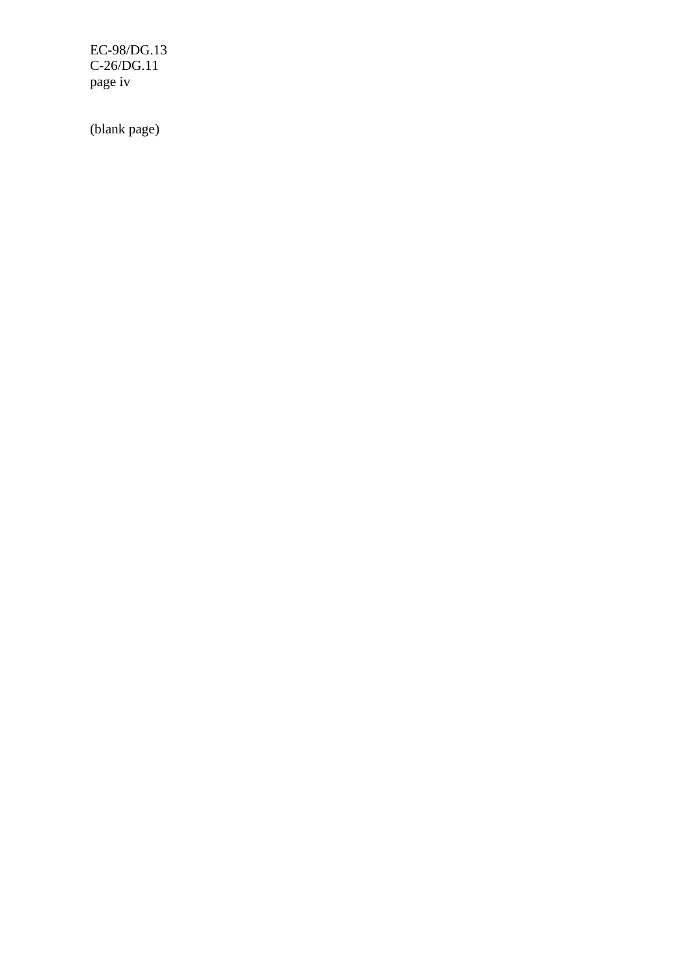EC-98/DG.13 C-26/DG.11 page iv

(blank page)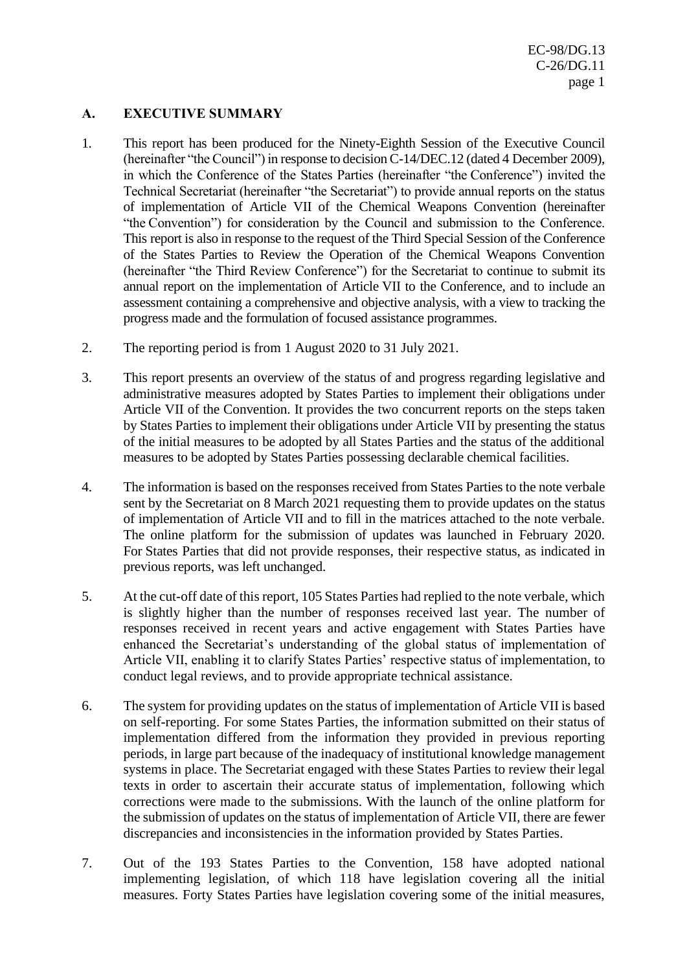# **A. EXECUTIVE SUMMARY**

- 1. This report has been produced for the Ninety-Eighth Session of the Executive Council (hereinafter "the Council") in response to decision C-14/DEC.12 (dated 4 December 2009), in which the Conference of the States Parties (hereinafter "the Conference") invited the Technical Secretariat (hereinafter "the Secretariat") to provide annual reports on the status of implementation of Article VII of the Chemical Weapons Convention (hereinafter "the Convention") for consideration by the Council and submission to the Conference. This report is also in response to the request of the Third Special Session of the Conference of the States Parties to Review the Operation of the Chemical Weapons Convention (hereinafter "the Third Review Conference") for the Secretariat to continue to submit its annual report on the implementation of Article VII to the Conference, and to include an assessment containing a comprehensive and objective analysis, with a view to tracking the progress made and the formulation of focused assistance programmes.
- 2. The reporting period is from 1 August 2020 to 31 July 2021.
- 3. This report presents an overview of the status of and progress regarding legislative and administrative measures adopted by States Parties to implement their obligations under Article VII of the Convention. It provides the two concurrent reports on the steps taken by States Parties to implement their obligations under Article VII by presenting the status of the initial measures to be adopted by all States Parties and the status of the additional measures to be adopted by States Parties possessing declarable chemical facilities.
- 4. The information is based on the responses received from States Parties to the note verbale sent by the Secretariat on 8 March 2021 requesting them to provide updates on the status of implementation of Article VII and to fill in the matrices attached to the note verbale. The online platform for the submission of updates was launched in February 2020. For States Parties that did not provide responses, their respective status, as indicated in previous reports, was left unchanged.
- 5. At the cut-off date of this report, 105 States Parties had replied to the note verbale, which is slightly higher than the number of responses received last year. The number of responses received in recent years and active engagement with States Parties have enhanced the Secretariat's understanding of the global status of implementation of Article VII, enabling it to clarify States Parties' respective status of implementation, to conduct legal reviews, and to provide appropriate technical assistance.
- 6. The system for providing updates on the status of implementation of Article VII is based on self-reporting. For some States Parties, the information submitted on their status of implementation differed from the information they provided in previous reporting periods, in large part because of the inadequacy of institutional knowledge management systems in place. The Secretariat engaged with these States Parties to review their legal texts in order to ascertain their accurate status of implementation, following which corrections were made to the submissions. With the launch of the online platform for the submission of updates on the status of implementation of Article VII, there are fewer discrepancies and inconsistencies in the information provided by States Parties.
- 7. Out of the 193 States Parties to the Convention, 158 have adopted national implementing legislation, of which 118 have legislation covering all the initial measures. Forty States Parties have legislation covering some of the initial measures,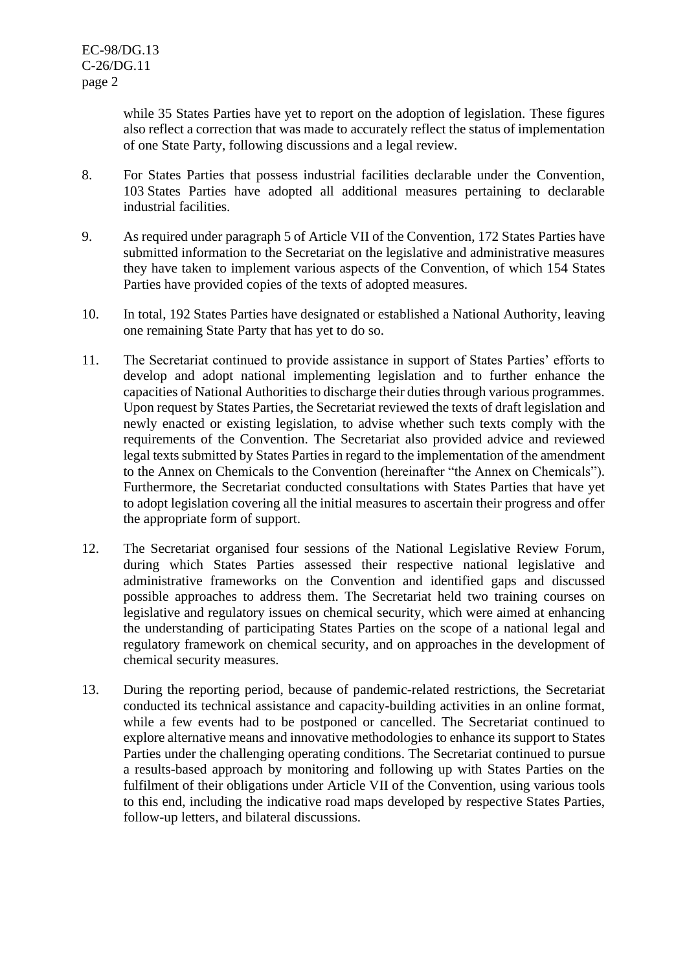while 35 States Parties have yet to report on the adoption of legislation. These figures also reflect a correction that was made to accurately reflect the status of implementation of one State Party, following discussions and a legal review.

- 8. For States Parties that possess industrial facilities declarable under the Convention, 103 States Parties have adopted all additional measures pertaining to declarable industrial facilities.
- 9. As required under paragraph 5 of Article VII of the Convention, 172 States Parties have submitted information to the Secretariat on the legislative and administrative measures they have taken to implement various aspects of the Convention, of which 154 States Parties have provided copies of the texts of adopted measures.
- 10. In total, 192 States Parties have designated or established a National Authority, leaving one remaining State Party that has yet to do so.
- 11. The Secretariat continued to provide assistance in support of States Parties' efforts to develop and adopt national implementing legislation and to further enhance the capacities of National Authorities to discharge their duties through various programmes. Upon request by States Parties, the Secretariat reviewed the texts of draft legislation and newly enacted or existing legislation, to advise whether such texts comply with the requirements of the Convention. The Secretariat also provided advice and reviewed legal texts submitted by States Parties in regard to the implementation of the amendment to the Annex on Chemicals to the Convention (hereinafter "the Annex on Chemicals"). Furthermore, the Secretariat conducted consultations with States Parties that have yet to adopt legislation covering all the initial measures to ascertain their progress and offer the appropriate form of support.
- 12. The Secretariat organised four sessions of the National Legislative Review Forum, during which States Parties assessed their respective national legislative and administrative frameworks on the Convention and identified gaps and discussed possible approaches to address them. The Secretariat held two training courses on legislative and regulatory issues on chemical security, which were aimed at enhancing the understanding of participating States Parties on the scope of a national legal and regulatory framework on chemical security, and on approaches in the development of chemical security measures.
- 13. During the reporting period, because of pandemic-related restrictions, the Secretariat conducted its technical assistance and capacity-building activities in an online format, while a few events had to be postponed or cancelled. The Secretariat continued to explore alternative means and innovative methodologies to enhance its support to States Parties under the challenging operating conditions. The Secretariat continued to pursue a results-based approach by monitoring and following up with States Parties on the fulfilment of their obligations under Article VII of the Convention, using various tools to this end, including the indicative road maps developed by respective States Parties, follow-up letters, and bilateral discussions.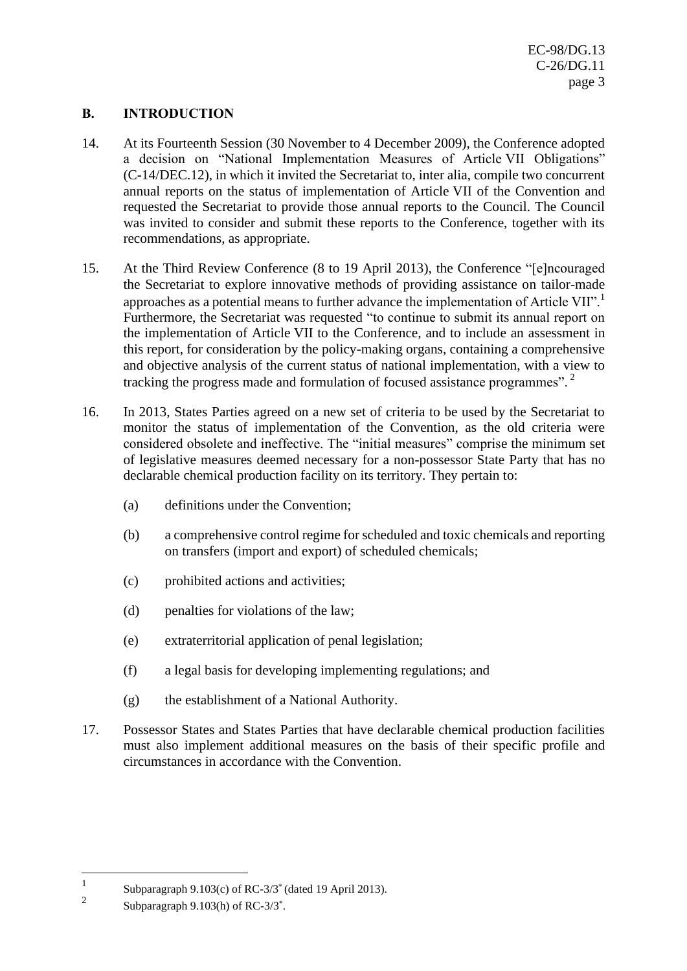# **B. INTRODUCTION**

- 14. At its Fourteenth Session (30 November to 4 December 2009), the Conference adopted a decision on "National Implementation Measures of Article VII Obligations" (C-14/DEC.12), in which it invited the Secretariat to, inter alia, compile two concurrent annual reports on the status of implementation of Article VII of the Convention and requested the Secretariat to provide those annual reports to the Council. The Council was invited to consider and submit these reports to the Conference, together with its recommendations, as appropriate.
- 15. At the Third Review Conference (8 to 19 April 2013), the Conference "[e]ncouraged the Secretariat to explore innovative methods of providing assistance on tailor-made approaches as a potential means to further advance the implementation of Article VII". Furthermore, the Secretariat was requested "to continue to submit its annual report on the implementation of Article VII to the Conference, and to include an assessment in this report, for consideration by the policy-making organs, containing a comprehensive and objective analysis of the current status of national implementation, with a view to tracking the progress made and formulation of focused assistance programmes".  $2^{\circ}$
- 16. In 2013, States Parties agreed on a new set of criteria to be used by the Secretariat to monitor the status of implementation of the Convention, as the old criteria were considered obsolete and ineffective. The "initial measures" comprise the minimum set of legislative measures deemed necessary for a non-possessor State Party that has no declarable chemical production facility on its territory. They pertain to:
	- (a) definitions under the Convention;
	- (b) a comprehensive control regime for scheduled and toxic chemicals and reporting on transfers (import and export) of scheduled chemicals;
	- (c) prohibited actions and activities;
	- (d) penalties for violations of the law;
	- (e) extraterritorial application of penal legislation;
	- (f) a legal basis for developing implementing regulations; and
	- (g) the establishment of a National Authority.
- 17. Possessor States and States Parties that have declarable chemical production facilities must also implement additional measures on the basis of their specific profile and circumstances in accordance with the Convention.

<sup>1</sup> Subparagraph 9.103(c) of RC-3/3\* (dated 19 April 2013). 2

Subparagraph 9.103(h) of RC-3/3<sup>\*</sup>.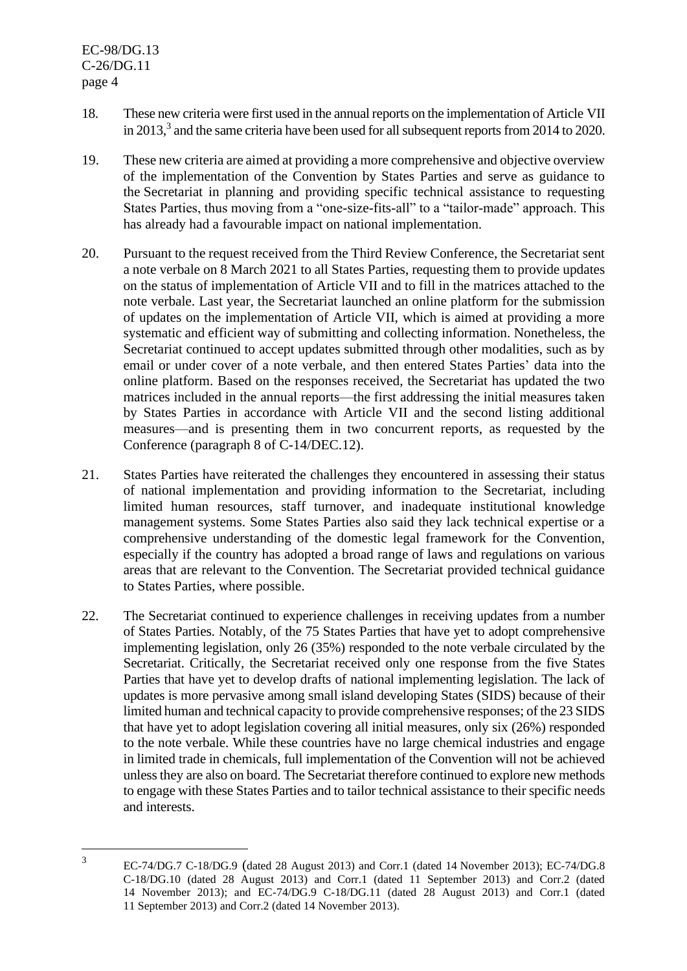3

- 18. These new criteria were first used in the annual reports on the implementation of Article VII in 2013, $3$  and the same criteria have been used for all subsequent reports from 2014 to 2020.
- 19. These new criteria are aimed at providing a more comprehensive and objective overview of the implementation of the Convention by States Parties and serve as guidance to the Secretariat in planning and providing specific technical assistance to requesting States Parties, thus moving from a "one-size-fits-all" to a "tailor-made" approach. This has already had a favourable impact on national implementation.
- 20. Pursuant to the request received from the Third Review Conference, the Secretariat sent a note verbale on 8 March 2021 to all States Parties, requesting them to provide updates on the status of implementation of Article VII and to fill in the matrices attached to the note verbale. Last year, the Secretariat launched an online platform for the submission of updates on the implementation of Article VII, which is aimed at providing a more systematic and efficient way of submitting and collecting information. Nonetheless, the Secretariat continued to accept updates submitted through other modalities, such as by email or under cover of a note verbale, and then entered States Parties' data into the online platform. Based on the responses received, the Secretariat has updated the two matrices included in the annual reports—the first addressing the initial measures taken by States Parties in accordance with Article VII and the second listing additional measures—and is presenting them in two concurrent reports, as requested by the Conference (paragraph 8 of C-14/DEC.12).
- 21. States Parties have reiterated the challenges they encountered in assessing their status of national implementation and providing information to the Secretariat, including limited human resources, staff turnover, and inadequate institutional knowledge management systems. Some States Parties also said they lack technical expertise or a comprehensive understanding of the domestic legal framework for the Convention, especially if the country has adopted a broad range of laws and regulations on various areas that are relevant to the Convention. The Secretariat provided technical guidance to States Parties, where possible.
- 22. The Secretariat continued to experience challenges in receiving updates from a number of States Parties. Notably, of the 75 States Parties that have yet to adopt comprehensive implementing legislation, only 26 (35%) responded to the note verbale circulated by the Secretariat. Critically, the Secretariat received only one response from the five States Parties that have yet to develop drafts of national implementing legislation. The lack of updates is more pervasive among small island developing States (SIDS) because of their limited human and technical capacity to provide comprehensive responses; of the 23 SIDS that have yet to adopt legislation covering all initial measures, only six (26%) responded to the note verbale. While these countries have no large chemical industries and engage in limited trade in chemicals, full implementation of the Convention will not be achieved unless they are also on board. The Secretariat therefore continued to explore new methods to engage with these States Parties and to tailor technical assistance to their specific needs and interests.

EC-74/DG.7 C-18/DG.9 (dated 28 August 2013) and Corr.1 (dated 14 November 2013); EC-74/DG.8 C-18/DG.10 (dated 28 August 2013) and Corr.1 (dated 11 September 2013) and Corr.2 (dated 14 November 2013); and EC-74/DG.9 C-18/DG.11 (dated 28 August 2013) and Corr.1 (dated 11 September 2013) and Corr.2 (dated 14 November 2013).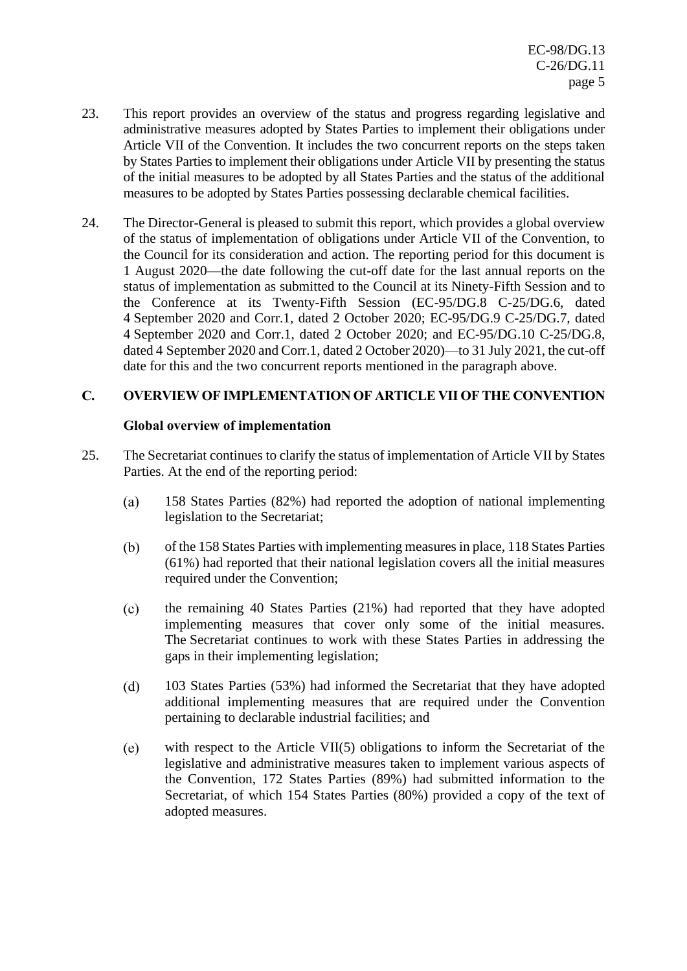- 23. This report provides an overview of the status and progress regarding legislative and administrative measures adopted by States Parties to implement their obligations under Article VII of the Convention. It includes the two concurrent reports on the steps taken by States Parties to implement their obligations under Article VII by presenting the status of the initial measures to be adopted by all States Parties and the status of the additional measures to be adopted by States Parties possessing declarable chemical facilities.
- 24. The Director-General is pleased to submit this report, which provides a global overview of the status of implementation of obligations under Article VII of the Convention, to the Council for its consideration and action. The reporting period for this document is 1 August 2020—the date following the cut-off date for the last annual reports on the status of implementation as submitted to the Council at its Ninety-Fifth Session and to the Conference at its Twenty-Fifth Session (EC-95/DG.8 C-25/DG.6, dated 4 September 2020 and Corr.1, dated 2 October 2020; EC-95/DG.9 C-25/DG.7, dated 4 September 2020 and Corr.1, dated 2 October 2020; and EC-95/DG.10 C-25/DG.8, dated 4 September 2020 and Corr.1, dated 2 October 2020)—to 31 July 2021, the cut-off date for this and the two concurrent reports mentioned in the paragraph above.

# **C. OVERVIEW OF IMPLEMENTATION OF ARTICLE VII OF THE CONVENTION**

#### **Global overview of implementation**

- 25. The Secretariat continues to clarify the status of implementation of Article VII by States Parties. At the end of the reporting period:
	- 158 States Parties (82%) had reported the adoption of national implementing  $(a)$ legislation to the Secretariat;
	- $(b)$ of the 158 States Parties with implementing measures in place, 118 States Parties (61%) had reported that their national legislation covers all the initial measures required under the Convention;
	- $(c)$ the remaining 40 States Parties (21%) had reported that they have adopted implementing measures that cover only some of the initial measures. The Secretariat continues to work with these States Parties in addressing the gaps in their implementing legislation;
	- $(d)$ 103 States Parties (53%) had informed the Secretariat that they have adopted additional implementing measures that are required under the Convention pertaining to declarable industrial facilities; and
	- with respect to the Article VII(5) obligations to inform the Secretariat of the  $(e)$ legislative and administrative measures taken to implement various aspects of the Convention, 172 States Parties (89%) had submitted information to the Secretariat, of which 154 States Parties (80%) provided a copy of the text of adopted measures.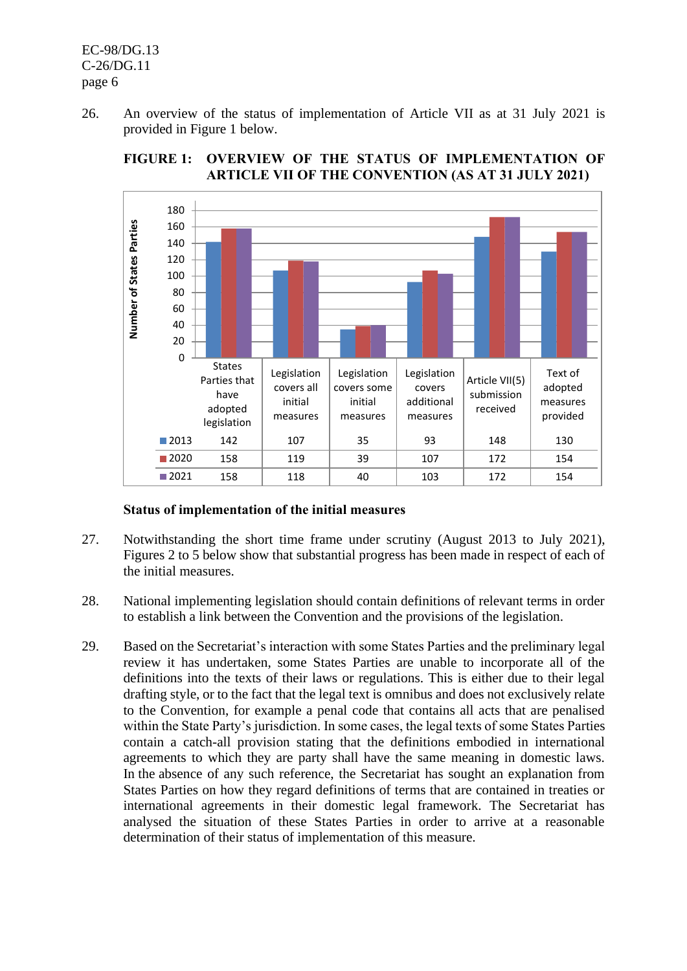EC-98/DG.13 C-26/DG.11 page 6

26. An overview of the status of implementation of Article VII as at 31 July 2021 is provided in Figure 1 below.



**FIGURE 1: OVERVIEW OF THE STATUS OF IMPLEMENTATION OF ARTICLE VII OF THE CONVENTION (AS AT 31 JULY 2021)**

#### **Status of implementation of the initial measures**

- 27. Notwithstanding the short time frame under scrutiny (August 2013 to July 2021), Figures 2 to 5 below show that substantial progress has been made in respect of each of the initial measures.
- 28. National implementing legislation should contain definitions of relevant terms in order to establish a link between the Convention and the provisions of the legislation.
- 29. Based on the Secretariat's interaction with some States Parties and the preliminary legal review it has undertaken, some States Parties are unable to incorporate all of the definitions into the texts of their laws or regulations. This is either due to their legal drafting style, or to the fact that the legal text is omnibus and does not exclusively relate to the Convention, for example a penal code that contains all acts that are penalised within the State Party's jurisdiction. In some cases, the legal texts of some States Parties contain a catch-all provision stating that the definitions embodied in international agreements to which they are party shall have the same meaning in domestic laws. In the absence of any such reference, the Secretariat has sought an explanation from States Parties on how they regard definitions of terms that are contained in treaties or international agreements in their domestic legal framework. The Secretariat has analysed the situation of these States Parties in order to arrive at a reasonable determination of their status of implementation of this measure.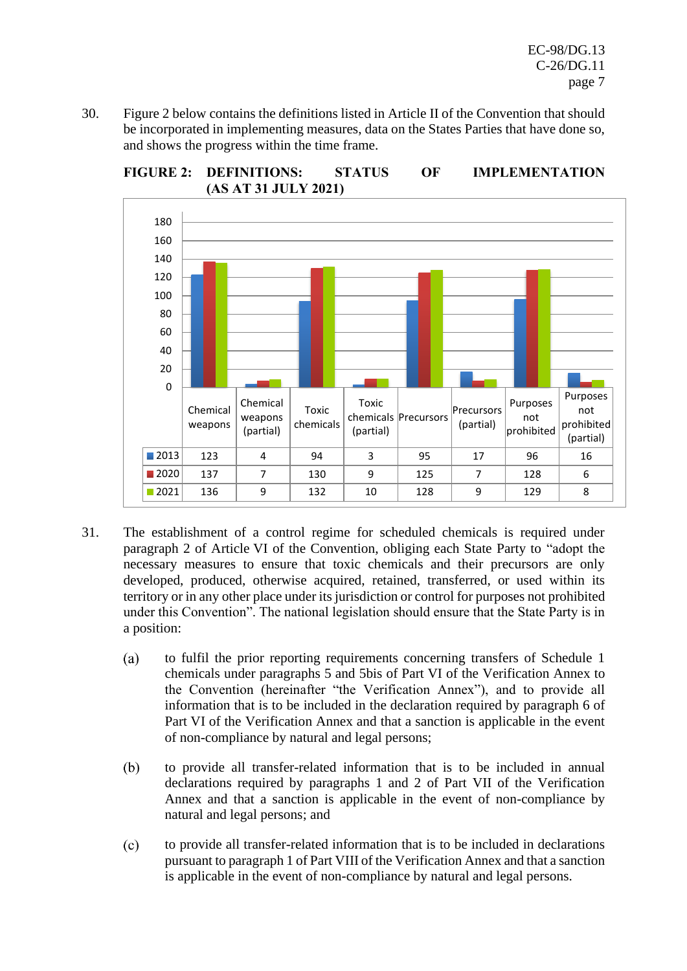30. Figure 2 below contains the definitions listed in Article II of the Convention that should be incorporated in implementing measures, data on the States Parties that have done so, and shows the progress within the time frame.



### **FIGURE 2: DEFINITIONS: STATUS OF IMPLEMENTATION (AS AT 31 JULY 2021)**

- 31. The establishment of a control regime for scheduled chemicals is required under paragraph 2 of Article VI of the Convention, obliging each State Party to "adopt the necessary measures to ensure that toxic chemicals and their precursors are only developed, produced, otherwise acquired, retained, transferred, or used within its territory or in any other place under its jurisdiction or control for purposes not prohibited under this Convention". The national legislation should ensure that the State Party is in a position:
	- $(a)$ to fulfil the prior reporting requirements concerning transfers of Schedule 1 chemicals under paragraphs 5 and 5bis of Part VI of the Verification Annex to the Convention (hereinafter "the Verification Annex"), and to provide all information that is to be included in the declaration required by paragraph 6 of Part VI of the Verification Annex and that a sanction is applicable in the event of non-compliance by natural and legal persons;
	- $(b)$ to provide all transfer-related information that is to be included in annual declarations required by paragraphs 1 and 2 of Part VII of the Verification Annex and that a sanction is applicable in the event of non-compliance by natural and legal persons; and
	- $(c)$ to provide all transfer-related information that is to be included in declarations pursuant to paragraph 1 of Part VIII of the Verification Annex and that a sanction is applicable in the event of non-compliance by natural and legal persons.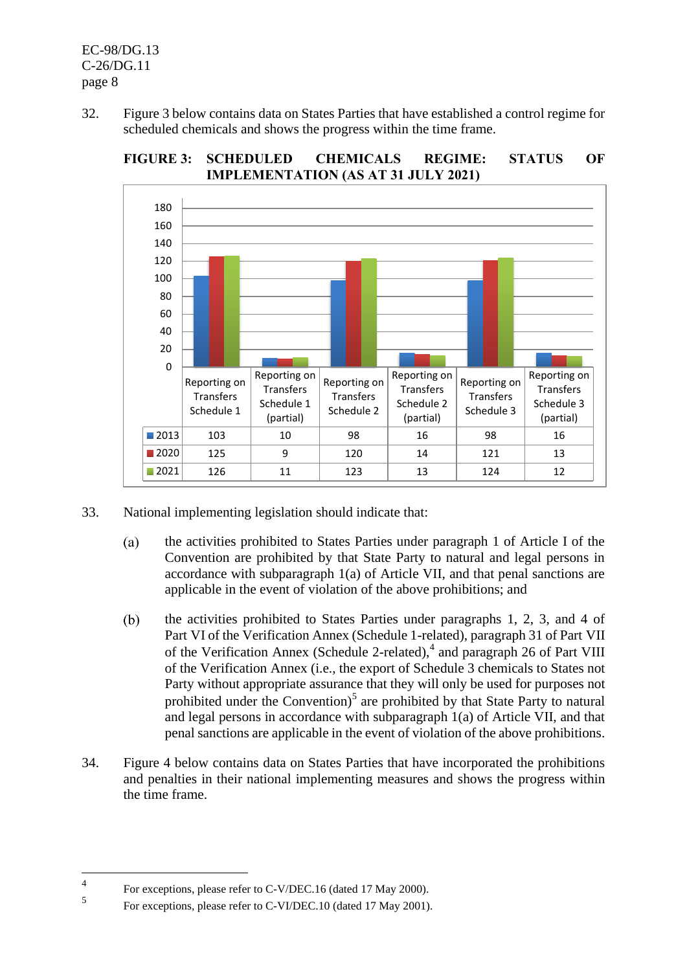EC-98/DG.13 C-26/DG.11 page 8

32. Figure 3 below contains data on States Parties that have established a control regime for scheduled chemicals and shows the progress within the time frame.



**FIGURE 3: SCHEDULED CHEMICALS REGIME: STATUS OF IMPLEMENTATION (AS AT 31 JULY 2021)** 

- 33. National implementing legislation should indicate that:
	- the activities prohibited to States Parties under paragraph 1 of Article I of the  $(a)$ Convention are prohibited by that State Party to natural and legal persons in accordance with subparagraph 1(a) of Article VII, and that penal sanctions are applicable in the event of violation of the above prohibitions; and
	- $(b)$ the activities prohibited to States Parties under paragraphs 1, 2, 3, and 4 of Part VI of the Verification Annex (Schedule 1-related), paragraph 31 of Part VII of the Verification Annex (Schedule 2-related),<sup>4</sup> and paragraph 26 of Part VIII of the Verification Annex (i.e., the export of Schedule 3 chemicals to States not Party without appropriate assurance that they will only be used for purposes not prohibited under the Convention)<sup>5</sup> are prohibited by that State Party to natural and legal persons in accordance with subparagraph 1(a) of Article VII, and that penal sanctions are applicable in the event of violation of the above prohibitions.
- 34. Figure 4 below contains data on States Parties that have incorporated the prohibitions and penalties in their national implementing measures and shows the progress within the time frame.

<sup>4</sup> For exceptions, please refer to C-V/DEC.16 (dated 17 May 2000).

<sup>5</sup> For exceptions, please refer to C-VI/DEC.10 (dated 17 May 2001).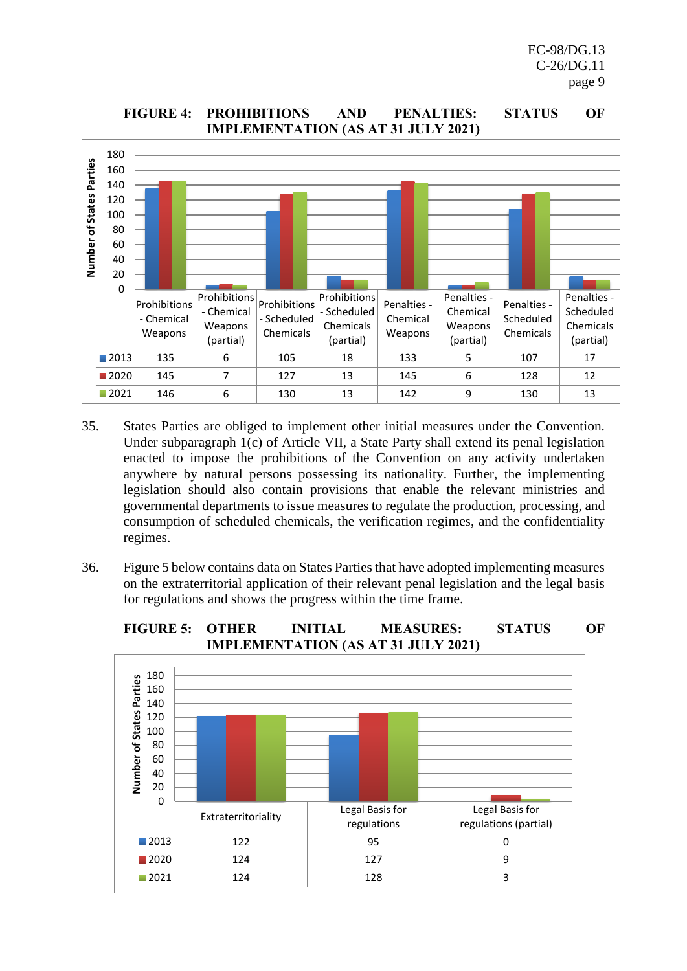EC-98/DG.13 C-26/DG.11 page 9



#### **FIGURE 4: PROHIBITIONS AND PENALTIES: STATUS OF IMPLEMENTATION (AS AT 31 JULY 2021)**

- 35. States Parties are obliged to implement other initial measures under the Convention. Under subparagraph 1(c) of Article VII, a State Party shall extend its penal legislation enacted to impose the prohibitions of the Convention on any activity undertaken anywhere by natural persons possessing its nationality. Further, the implementing legislation should also contain provisions that enable the relevant ministries and governmental departments to issue measures to regulate the production, processing, and consumption of scheduled chemicals, the verification regimes, and the confidentiality regimes.
- 36. Figure 5 below contains data on States Parties that have adopted implementing measures on the extraterritorial application of their relevant penal legislation and the legal basis for regulations and shows the progress within the time frame.



#### **FIGURE 5: OTHER INITIAL MEASURES: STATUS OF IMPLEMENTATION (AS AT 31 JULY 2021)**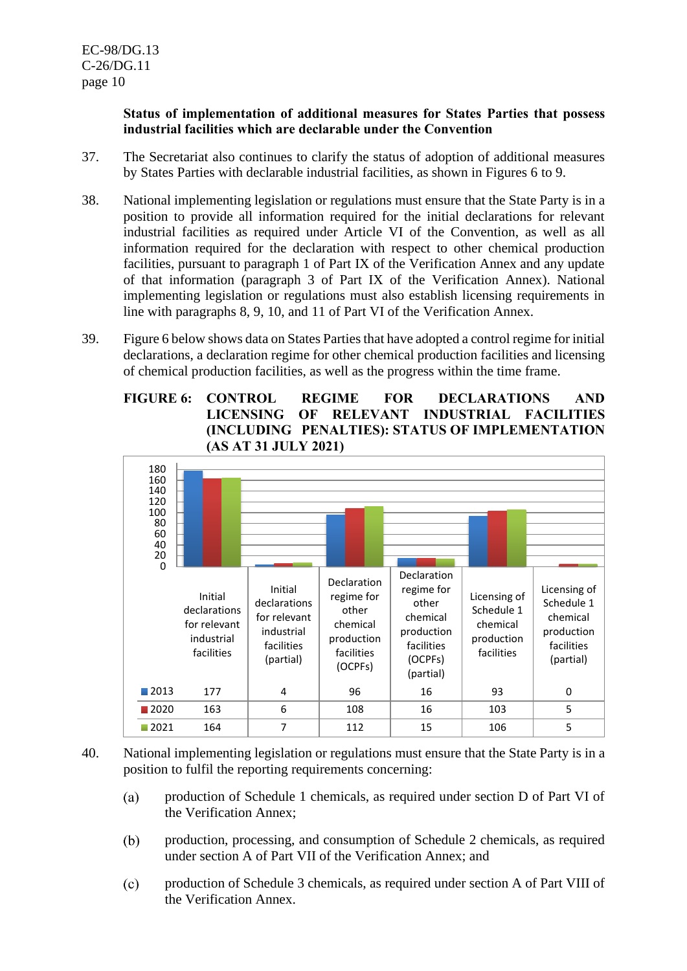#### **Status of implementation of additional measures for States Parties that possess industrial facilities which are declarable under the Convention**

- 37. The Secretariat also continues to clarify the status of adoption of additional measures by States Parties with declarable industrial facilities, as shown in Figures 6 to 9.
- 38. National implementing legislation or regulations must ensure that the State Party is in a position to provide all information required for the initial declarations for relevant industrial facilities as required under Article VI of the Convention, as well as all information required for the declaration with respect to other chemical production facilities, pursuant to paragraph 1 of Part IX of the Verification Annex and any update of that information (paragraph 3 of Part IX of the Verification Annex). National implementing legislation or regulations must also establish licensing requirements in line with paragraphs 8, 9, 10, and 11 of Part VI of the Verification Annex.
- 39. Figure 6 below shows data on States Parties that have adopted a control regime for initial declarations, a declaration regime for other chemical production facilities and licensing of chemical production facilities, as well as the progress within the time frame.

#### **FIGURE 6: CONTROL REGIME FOR DECLARATIONS AND LICENSING OF RELEVANT INDUSTRIAL FACILITIES (INCLUDING PENALTIES): STATUS OF IMPLEMENTATION (AS AT 31 JULY 2021)**

| 180                 |                                                                     |                                                                                  |                                                                                       |                                                                                                    |                                                                    |                                                                                 |
|---------------------|---------------------------------------------------------------------|----------------------------------------------------------------------------------|---------------------------------------------------------------------------------------|----------------------------------------------------------------------------------------------------|--------------------------------------------------------------------|---------------------------------------------------------------------------------|
| 160                 |                                                                     |                                                                                  |                                                                                       |                                                                                                    |                                                                    |                                                                                 |
| 140                 |                                                                     |                                                                                  |                                                                                       |                                                                                                    |                                                                    |                                                                                 |
| 120                 |                                                                     |                                                                                  |                                                                                       |                                                                                                    |                                                                    |                                                                                 |
| 100                 |                                                                     |                                                                                  |                                                                                       |                                                                                                    |                                                                    |                                                                                 |
| 80                  |                                                                     |                                                                                  |                                                                                       |                                                                                                    |                                                                    |                                                                                 |
| 60<br>40            |                                                                     |                                                                                  |                                                                                       |                                                                                                    |                                                                    |                                                                                 |
| 20                  |                                                                     |                                                                                  |                                                                                       |                                                                                                    |                                                                    |                                                                                 |
| 0                   |                                                                     |                                                                                  |                                                                                       |                                                                                                    |                                                                    |                                                                                 |
|                     | Initial<br>declarations<br>for relevant<br>industrial<br>facilities | Initial<br>declarations<br>for relevant<br>industrial<br>facilities<br>(partial) | Declaration<br>regime for<br>other<br>chemical<br>production<br>facilities<br>(OCPFs) | Declaration<br>regime for<br>other<br>chemical<br>production<br>facilities<br>(OCPFs)<br>(partial) | Licensing of<br>Schedule 1<br>chemical<br>production<br>facilities | Licensing of<br>Schedule 1<br>chemical<br>production<br>facilities<br>(partial) |
| $\blacksquare$ 2013 | 177                                                                 | 4                                                                                | 96                                                                                    | 16                                                                                                 | 93                                                                 | 0                                                                               |
| $\blacksquare$ 2020 | 163                                                                 | 6                                                                                | 108                                                                                   | 16                                                                                                 | 103                                                                | 5                                                                               |
| $\blacksquare$ 2021 | 164                                                                 | 7                                                                                | 112                                                                                   | 15                                                                                                 | 106                                                                | 5                                                                               |

- 40. National implementing legislation or regulations must ensure that the State Party is in a position to fulfil the reporting requirements concerning:
	- production of Schedule 1 chemicals, as required under section D of Part VI of  $(a)$ the Verification Annex;
	- $(b)$ production, processing, and consumption of Schedule 2 chemicals, as required under section A of Part VII of the Verification Annex; and
	- $(c)$ production of Schedule 3 chemicals, as required under section A of Part VIII of the Verification Annex.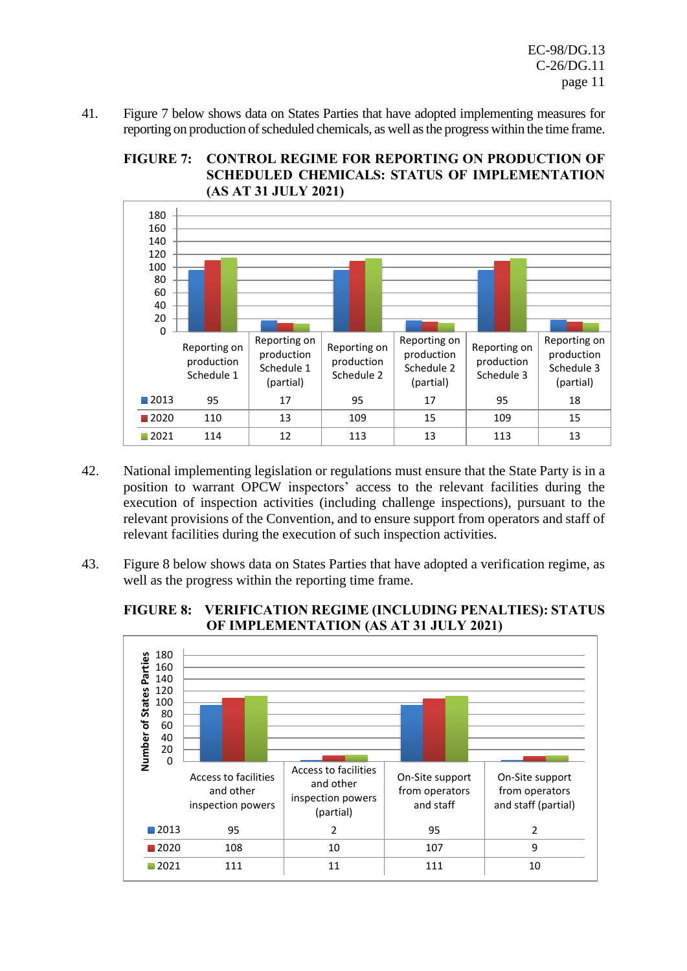41. Figure 7 below shows data on States Parties that have adopted implementing measures for reporting on production of scheduled chemicals, as well as the progress within the time frame.

#### **FIGURE 7: CONTROL REGIME FOR REPORTING ON PRODUCTION OF SCHEDULED CHEMICALS: STATUS OF IMPLEMENTATION (AS AT 31 JULY 2021)**



- 42. National implementing legislation or regulations must ensure that the State Party is in a position to warrant OPCW inspectors' access to the relevant facilities during the execution of inspection activities (including challenge inspections), pursuant to the relevant provisions of the Convention, and to ensure support from operators and staff of relevant facilities during the execution of such inspection activities.
- 43. Figure 8 below shows data on States Parties that have adopted a verification regime, as well as the progress within the reporting time frame.

#### **FIGURE 8: VERIFICATION REGIME (INCLUDING PENALTIES): STATUS OF IMPLEMENTATION (AS AT 31 JULY 2021)**

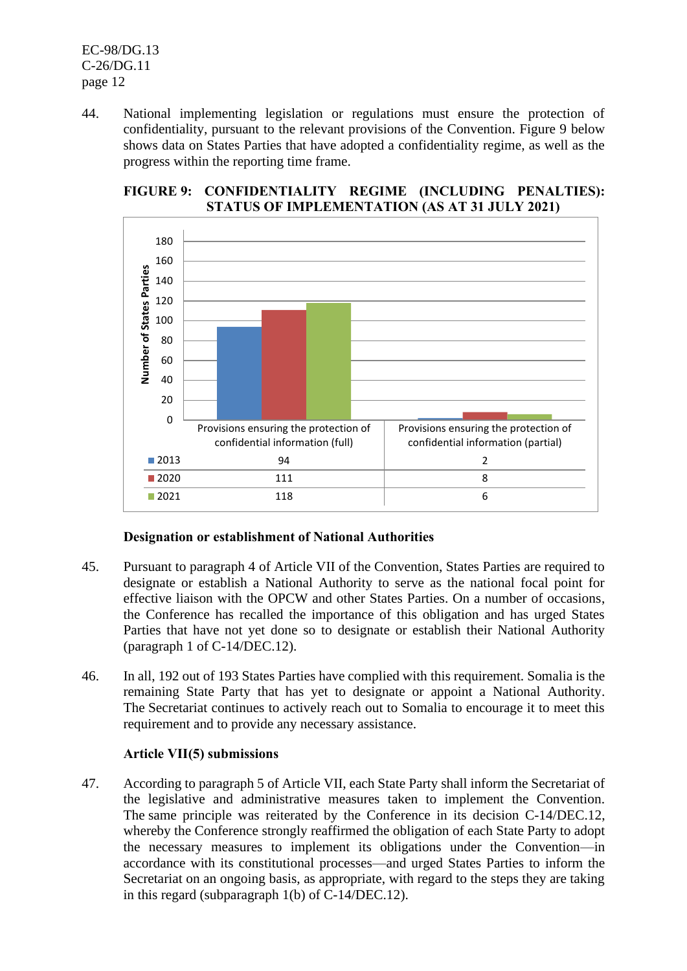44. National implementing legislation or regulations must ensure the protection of confidentiality, pursuant to the relevant provisions of the Convention. Figure 9 below shows data on States Parties that have adopted a confidentiality regime, as well as the progress within the reporting time frame.

#### 180 160 Number of States Parties **Number of States Parties**140 120 100 80 60 40 20 0 Provisions ensuring the protection of Provisions ensuring the protection of confidential information (full) confidential information (partial) 2013 94 2 2020 111 8

# **FIGURE 9: CONFIDENTIALITY REGIME (INCLUDING PENALTIES): STATUS OF IMPLEMENTATION (AS AT 31 JULY 2021)**

### **Designation or establishment of National Authorities**

45. Pursuant to paragraph 4 of Article VII of the Convention, States Parties are required to designate or establish a National Authority to serve as the national focal point for effective liaison with the OPCW and other States Parties. On a number of occasions, the Conference has recalled the importance of this obligation and has urged States Parties that have not yet done so to designate or establish their National Authority (paragraph 1 of C-14/DEC.12).

2021 118 6

46. In all, 192 out of 193 States Parties have complied with this requirement. Somalia is the remaining State Party that has yet to designate or appoint a National Authority. The Secretariat continues to actively reach out to Somalia to encourage it to meet this requirement and to provide any necessary assistance.

### **Article VII(5) submissions**

47. According to paragraph 5 of Article VII, each State Party shall inform the Secretariat of the legislative and administrative measures taken to implement the Convention. The same principle was reiterated by the Conference in its decision C-14/DEC.12, whereby the Conference strongly reaffirmed the obligation of each State Party to adopt the necessary measures to implement its obligations under the Convention—in accordance with its constitutional processes—and urged States Parties to inform the Secretariat on an ongoing basis, as appropriate, with regard to the steps they are taking in this regard (subparagraph 1(b) of C-14/DEC.12).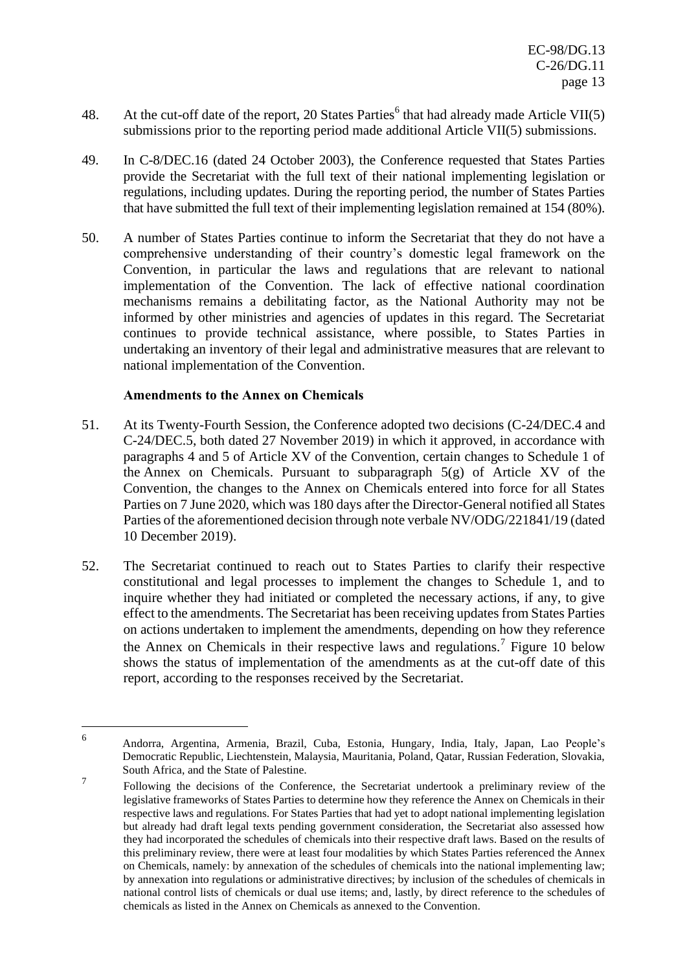- 48. At the cut-off date of the report, 20 States Parties<sup>6</sup> that had already made Article VII(5) submissions prior to the reporting period made additional Article VII(5) submissions.
- 49. In C-8/DEC.16 (dated 24 October 2003), the Conference requested that States Parties provide the Secretariat with the full text of their national implementing legislation or regulations, including updates. During the reporting period, the number of States Parties that have submitted the full text of their implementing legislation remained at 154 (80%).
- 50. A number of States Parties continue to inform the Secretariat that they do not have a comprehensive understanding of their country's domestic legal framework on the Convention, in particular the laws and regulations that are relevant to national implementation of the Convention. The lack of effective national coordination mechanisms remains a debilitating factor, as the National Authority may not be informed by other ministries and agencies of updates in this regard. The Secretariat continues to provide technical assistance, where possible, to States Parties in undertaking an inventory of their legal and administrative measures that are relevant to national implementation of the Convention.

#### **Amendments to the Annex on Chemicals**

- 51. At its Twenty-Fourth Session, the Conference adopted two decisions (C-24/DEC.4 and C-24/DEC.5, both dated 27 November 2019) in which it approved, in accordance with paragraphs 4 and 5 of Article XV of the Convention, certain changes to Schedule 1 of the Annex on Chemicals. Pursuant to subparagraph 5(g) of Article XV of the Convention, the changes to the Annex on Chemicals entered into force for all States Parties on 7 June 2020, which was 180 days after the Director-General notified all States Parties of the aforementioned decision through note verbale NV/ODG/221841/19 (dated 10 December 2019).
- 52. The Secretariat continued to reach out to States Parties to clarify their respective constitutional and legal processes to implement the changes to Schedule 1, and to inquire whether they had initiated or completed the necessary actions, if any, to give effect to the amendments. The Secretariat has been receiving updates from States Parties on actions undertaken to implement the amendments, depending on how they reference the Annex on Chemicals in their respective laws and regulations.<sup>7</sup> Figure 10 below shows the status of implementation of the amendments as at the cut-off date of this report, according to the responses received by the Secretariat.

<sup>6</sup> Andorra, Argentina, Armenia, Brazil, Cuba, Estonia, Hungary, India, Italy, Japan, Lao People's Democratic Republic, Liechtenstein, Malaysia, Mauritania, Poland, Qatar, Russian Federation, Slovakia, South Africa, and the State of Palestine.

<sup>7</sup> Following the decisions of the Conference, the Secretariat undertook a preliminary review of the legislative frameworks of States Parties to determine how they reference the Annex on Chemicals in their respective laws and regulations. For States Parties that had yet to adopt national implementing legislation but already had draft legal texts pending government consideration, the Secretariat also assessed how they had incorporated the schedules of chemicals into their respective draft laws. Based on the results of this preliminary review, there were at least four modalities by which States Parties referenced the Annex on Chemicals, namely: by annexation of the schedules of chemicals into the national implementing law; by annexation into regulations or administrative directives; by inclusion of the schedules of chemicals in national control lists of chemicals or dual use items; and, lastly, by direct reference to the schedules of chemicals as listed in the Annex on Chemicals as annexed to the Convention.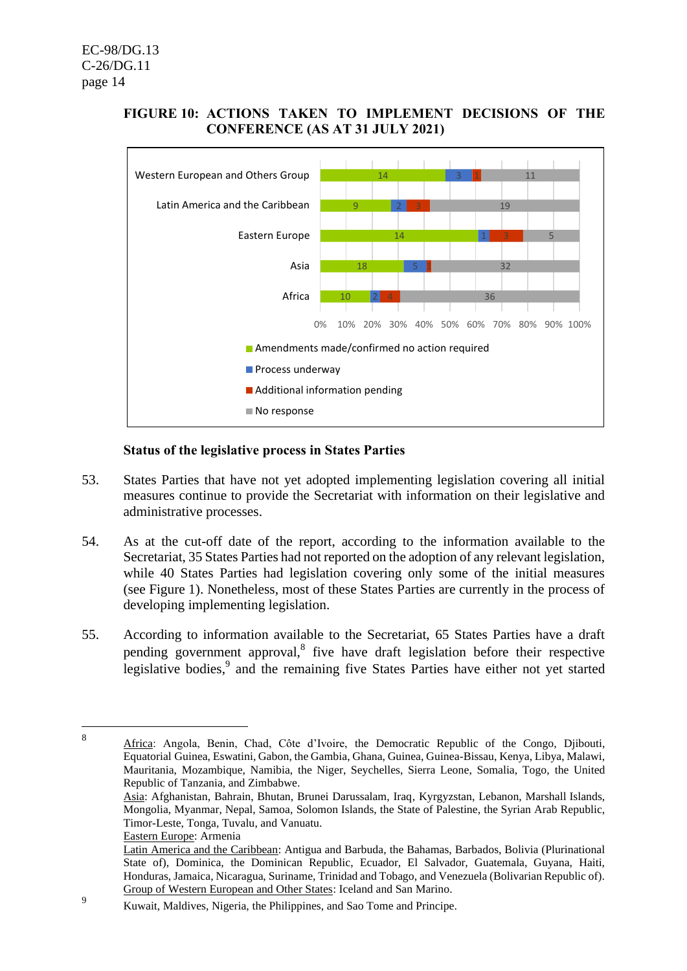8



# **FIGURE 10: ACTIONS TAKEN TO IMPLEMENT DECISIONS OF THE CONFERENCE (AS AT 31 JULY 2021)**

#### **Status of the legislative process in States Parties**

- 53. States Parties that have not yet adopted implementing legislation covering all initial measures continue to provide the Secretariat with information on their legislative and administrative processes.
- 54. As at the cut-off date of the report, according to the information available to the Secretariat, 35 States Parties had not reported on the adoption of any relevant legislation, while 40 States Parties had legislation covering only some of the initial measures (see Figure 1). Nonetheless, most of these States Parties are currently in the process of developing implementing legislation.
- 55. According to information available to the Secretariat, 65 States Parties have a draft pending government approval, $8$  five have draft legislation before their respective legislative bodies,<sup>9</sup> and the remaining five States Parties have either not yet started

Africa: Angola, Benin, Chad, Côte d'Ivoire, the Democratic Republic of the Congo, Djibouti, Equatorial Guinea, Eswatini, Gabon, the Gambia, Ghana, Guinea, Guinea-Bissau, Kenya, Libya, Malawi, Mauritania, Mozambique, Namibia, the Niger, Seychelles, Sierra Leone, Somalia, Togo, the United Republic of Tanzania, and Zimbabwe.

Asia: Afghanistan, Bahrain, Bhutan, Brunei Darussalam, Iraq, Kyrgyzstan, Lebanon, Marshall Islands, Mongolia, Myanmar, Nepal, Samoa, Solomon Islands, the State of Palestine, the Syrian Arab Republic, Timor-Leste, Tonga, Tuvalu, and Vanuatu.

Eastern Europe: Armenia Latin America and the Caribbean: Antigua and Barbuda, the Bahamas, Barbados, Bolivia (Plurinational State of), Dominica, the Dominican Republic, Ecuador, El Salvador, Guatemala, Guyana, Haiti, Honduras, Jamaica, Nicaragua, Suriname, Trinidad and Tobago, and Venezuela (Bolivarian Republic of). Group of Western European and Other States: Iceland and San Marino.

<sup>9</sup> Kuwait, Maldives, Nigeria, the Philippines, and Sao Tome and Principe.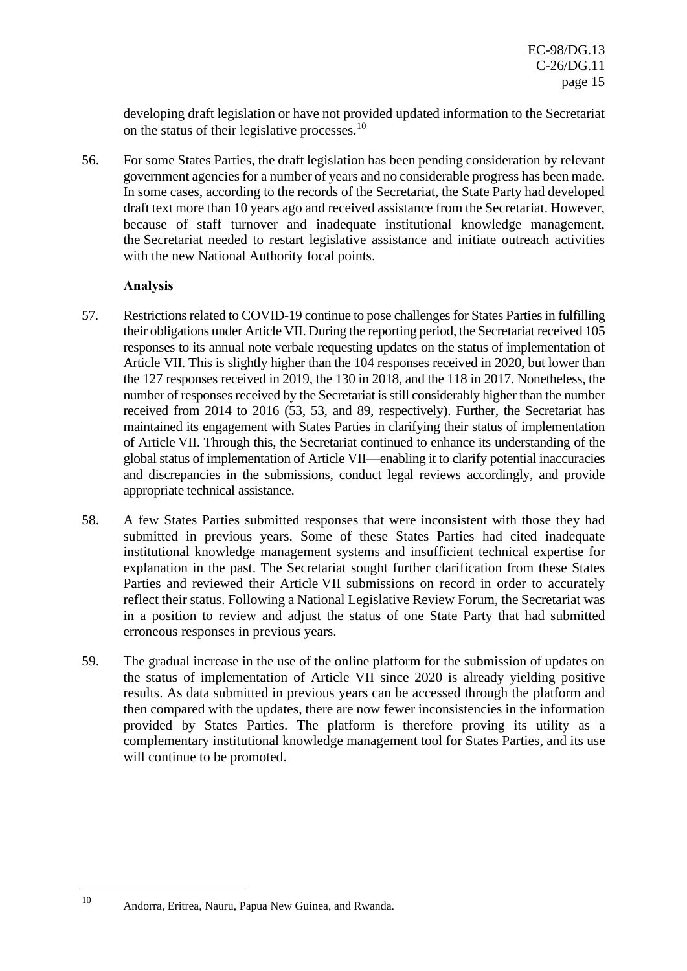developing draft legislation or have not provided updated information to the Secretariat on the status of their legislative processes. $10$ 

56. For some States Parties, the draft legislation has been pending consideration by relevant government agencies for a number of years and no considerable progress has been made. In some cases, according to the records of the Secretariat, the State Party had developed draft text more than 10 years ago and received assistance from the Secretariat. However, because of staff turnover and inadequate institutional knowledge management, the Secretariat needed to restart legislative assistance and initiate outreach activities with the new National Authority focal points.

#### **Analysis**

- 57. Restrictions related to COVID-19 continue to pose challenges for States Parties in fulfilling their obligations under Article VII. During the reporting period, the Secretariat received 105 responses to its annual note verbale requesting updates on the status of implementation of Article VII. This is slightly higher than the 104 responses received in 2020, but lower than the 127 responses received in 2019, the 130 in 2018, and the 118 in 2017. Nonetheless, the number of responses received by the Secretariat is still considerably higher than the number received from 2014 to 2016 (53, 53, and 89, respectively). Further, the Secretariat has maintained its engagement with States Parties in clarifying their status of implementation of Article VII. Through this, the Secretariat continued to enhance its understanding of the global status of implementation of Article VII—enabling it to clarify potential inaccuracies and discrepancies in the submissions, conduct legal reviews accordingly, and provide appropriate technical assistance.
- 58. A few States Parties submitted responses that were inconsistent with those they had submitted in previous years. Some of these States Parties had cited inadequate institutional knowledge management systems and insufficient technical expertise for explanation in the past. The Secretariat sought further clarification from these States Parties and reviewed their Article VII submissions on record in order to accurately reflect their status. Following a National Legislative Review Forum, the Secretariat was in a position to review and adjust the status of one State Party that had submitted erroneous responses in previous years.
- 59. The gradual increase in the use of the online platform for the submission of updates on the status of implementation of Article VII since 2020 is already yielding positive results. As data submitted in previous years can be accessed through the platform and then compared with the updates, there are now fewer inconsistencies in the information provided by States Parties. The platform is therefore proving its utility as a complementary institutional knowledge management tool for States Parties, and its use will continue to be promoted.

<sup>10</sup> Andorra, Eritrea, Nauru, Papua New Guinea, and Rwanda.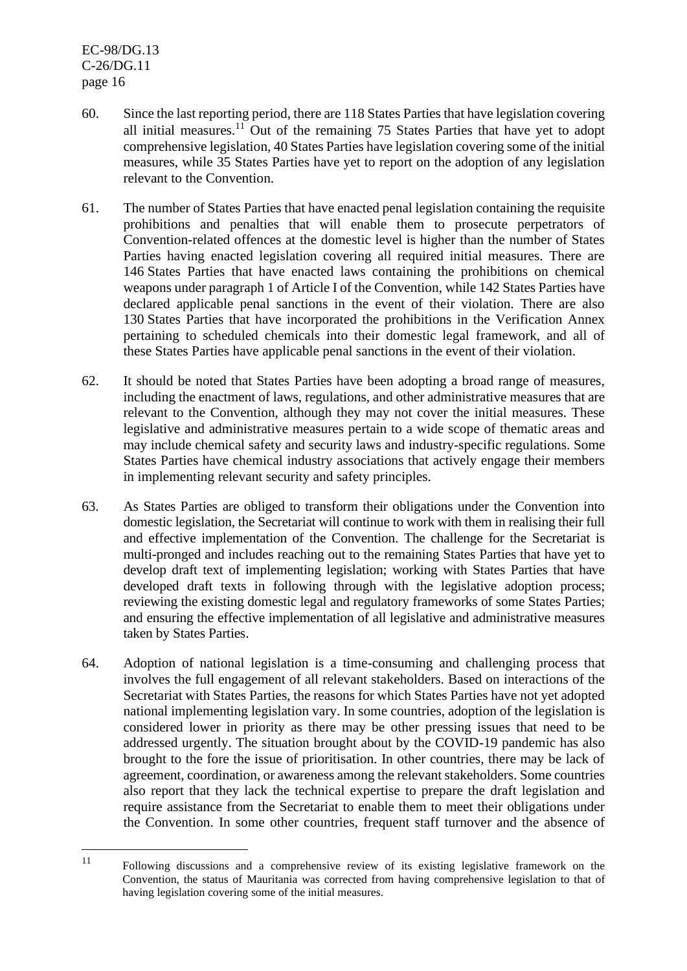EC-98/DG.13 C-26/DG.11 page 16

- 60. Since the last reporting period, there are 118 States Parties that have legislation covering all initial measures.<sup>11</sup> Out of the remaining 75 States Parties that have yet to adopt comprehensive legislation, 40 States Parties have legislation covering some of the initial measures, while 35 States Parties have yet to report on the adoption of any legislation relevant to the Convention.
- 61. The number of States Parties that have enacted penal legislation containing the requisite prohibitions and penalties that will enable them to prosecute perpetrators of Convention-related offences at the domestic level is higher than the number of States Parties having enacted legislation covering all required initial measures. There are 146 States Parties that have enacted laws containing the prohibitions on chemical weapons under paragraph 1 of Article I of the Convention, while 142 States Parties have declared applicable penal sanctions in the event of their violation. There are also 130 States Parties that have incorporated the prohibitions in the Verification Annex pertaining to scheduled chemicals into their domestic legal framework, and all of these States Parties have applicable penal sanctions in the event of their violation.
- 62. It should be noted that States Parties have been adopting a broad range of measures, including the enactment of laws, regulations, and other administrative measures that are relevant to the Convention, although they may not cover the initial measures. These legislative and administrative measures pertain to a wide scope of thematic areas and may include chemical safety and security laws and industry-specific regulations. Some States Parties have chemical industry associations that actively engage their members in implementing relevant security and safety principles.
- 63. As States Parties are obliged to transform their obligations under the Convention into domestic legislation, the Secretariat will continue to work with them in realising their full and effective implementation of the Convention. The challenge for the Secretariat is multi-pronged and includes reaching out to the remaining States Parties that have yet to develop draft text of implementing legislation; working with States Parties that have developed draft texts in following through with the legislative adoption process; reviewing the existing domestic legal and regulatory frameworks of some States Parties; and ensuring the effective implementation of all legislative and administrative measures taken by States Parties.
- 64. Adoption of national legislation is a time-consuming and challenging process that involves the full engagement of all relevant stakeholders. Based on interactions of the Secretariat with States Parties, the reasons for which States Parties have not yet adopted national implementing legislation vary. In some countries, adoption of the legislation is considered lower in priority as there may be other pressing issues that need to be addressed urgently. The situation brought about by the COVID-19 pandemic has also brought to the fore the issue of prioritisation. In other countries, there may be lack of agreement, coordination, or awareness among the relevant stakeholders. Some countries also report that they lack the technical expertise to prepare the draft legislation and require assistance from the Secretariat to enable them to meet their obligations under the Convention. In some other countries, frequent staff turnover and the absence of

<sup>11</sup> Following discussions and a comprehensive review of its existing legislative framework on the Convention, the status of Mauritania was corrected from having comprehensive legislation to that of having legislation covering some of the initial measures.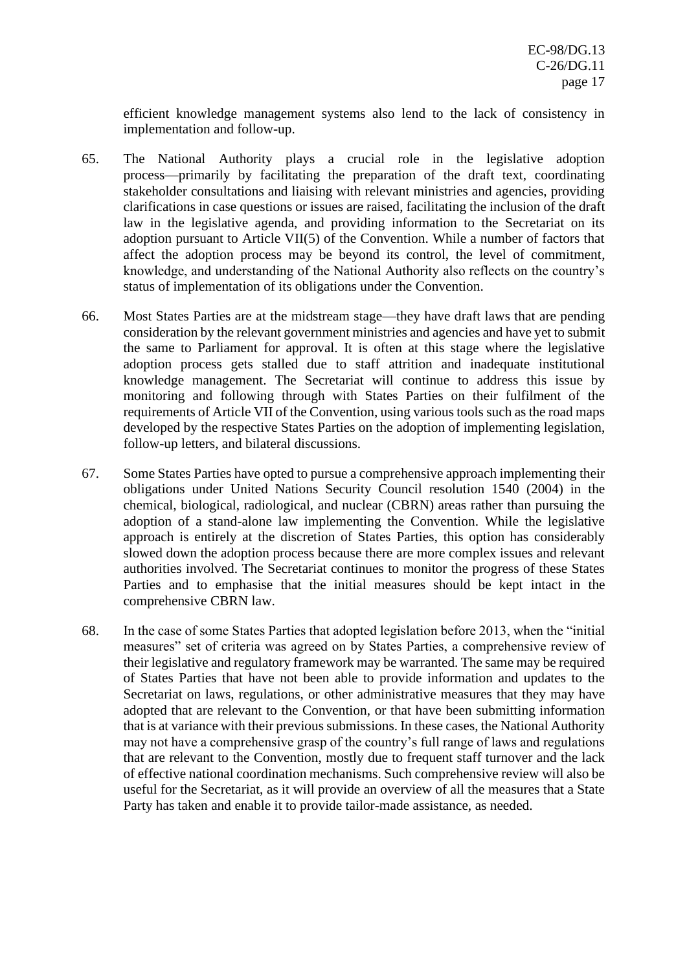efficient knowledge management systems also lend to the lack of consistency in implementation and follow-up.

- 65. The National Authority plays a crucial role in the legislative adoption process—primarily by facilitating the preparation of the draft text, coordinating stakeholder consultations and liaising with relevant ministries and agencies, providing clarifications in case questions or issues are raised, facilitating the inclusion of the draft law in the legislative agenda, and providing information to the Secretariat on its adoption pursuant to Article VII(5) of the Convention. While a number of factors that affect the adoption process may be beyond its control, the level of commitment, knowledge, and understanding of the National Authority also reflects on the country's status of implementation of its obligations under the Convention.
- 66. Most States Parties are at the midstream stage—they have draft laws that are pending consideration by the relevant government ministries and agencies and have yet to submit the same to Parliament for approval. It is often at this stage where the legislative adoption process gets stalled due to staff attrition and inadequate institutional knowledge management. The Secretariat will continue to address this issue by monitoring and following through with States Parties on their fulfilment of the requirements of Article VII of the Convention, using various tools such as the road maps developed by the respective States Parties on the adoption of implementing legislation, follow-up letters, and bilateral discussions.
- 67. Some States Parties have opted to pursue a comprehensive approach implementing their obligations under United Nations Security Council resolution 1540 (2004) in the chemical, biological, radiological, and nuclear (CBRN) areas rather than pursuing the adoption of a stand-alone law implementing the Convention. While the legislative approach is entirely at the discretion of States Parties, this option has considerably slowed down the adoption process because there are more complex issues and relevant authorities involved. The Secretariat continues to monitor the progress of these States Parties and to emphasise that the initial measures should be kept intact in the comprehensive CBRN law.
- 68. In the case of some States Parties that adopted legislation before 2013, when the "initial measures" set of criteria was agreed on by States Parties, a comprehensive review of their legislative and regulatory framework may be warranted. The same may be required of States Parties that have not been able to provide information and updates to the Secretariat on laws, regulations, or other administrative measures that they may have adopted that are relevant to the Convention, or that have been submitting information that is at variance with their previous submissions. In these cases, the National Authority may not have a comprehensive grasp of the country's full range of laws and regulations that are relevant to the Convention, mostly due to frequent staff turnover and the lack of effective national coordination mechanisms. Such comprehensive review will also be useful for the Secretariat, as it will provide an overview of all the measures that a State Party has taken and enable it to provide tailor-made assistance, as needed.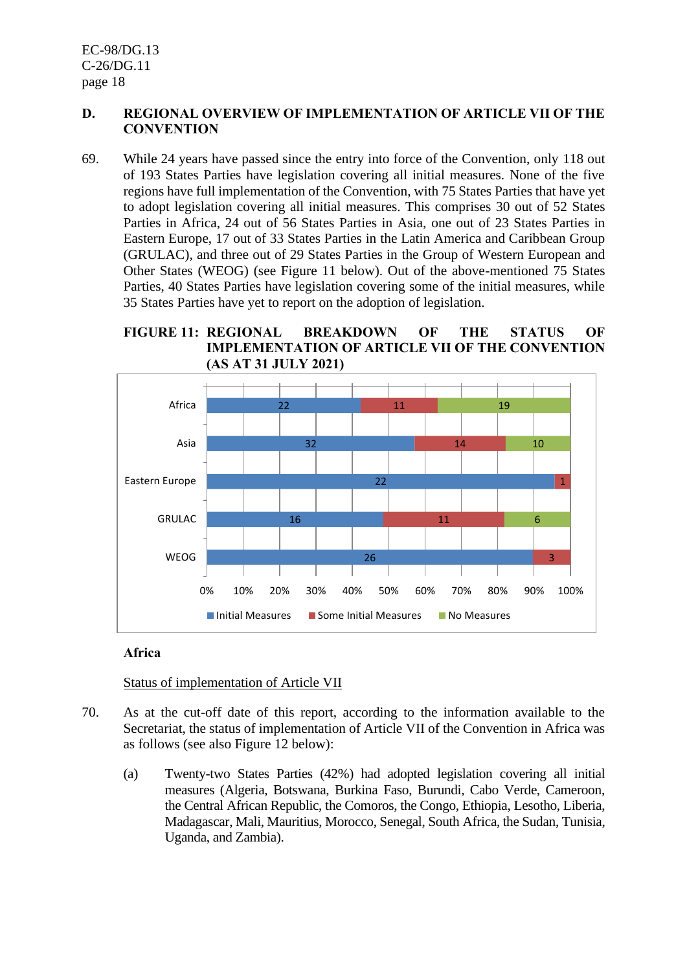### **D. REGIONAL OVERVIEW OF IMPLEMENTATION OF ARTICLE VII OF THE CONVENTION**

69. While 24 years have passed since the entry into force of the Convention, only 118 out of 193 States Parties have legislation covering all initial measures. None of the five regions have full implementation of the Convention, with 75 States Parties that have yet to adopt legislation covering all initial measures. This comprises 30 out of 52 States Parties in Africa, 24 out of 56 States Parties in Asia, one out of 23 States Parties in Eastern Europe, 17 out of 33 States Parties in the Latin America and Caribbean Group (GRULAC), and three out of 29 States Parties in the Group of Western European and Other States (WEOG) (see Figure 11 below). Out of the above-mentioned 75 States Parties, 40 States Parties have legislation covering some of the initial measures, while 35 States Parties have yet to report on the adoption of legislation.

**FIGURE 11: REGIONAL BREAKDOWN OF THE STATUS OF IMPLEMENTATION OF ARTICLE VII OF THE CONVENTION (AS AT 31 JULY 2021)**



### **Africa**

Status of implementation of Article VII

- 70. As at the cut-off date of this report, according to the information available to the Secretariat, the status of implementation of Article VII of the Convention in Africa was as follows (see also Figure 12 below):
	- (a) Twenty-two States Parties (42%) had adopted legislation covering all initial measures (Algeria, Botswana, Burkina Faso, Burundi, Cabo Verde, Cameroon, the Central African Republic, the Comoros, the Congo, Ethiopia, Lesotho, Liberia, Madagascar, Mali, Mauritius, Morocco, Senegal, South Africa, the Sudan, Tunisia, Uganda, and Zambia).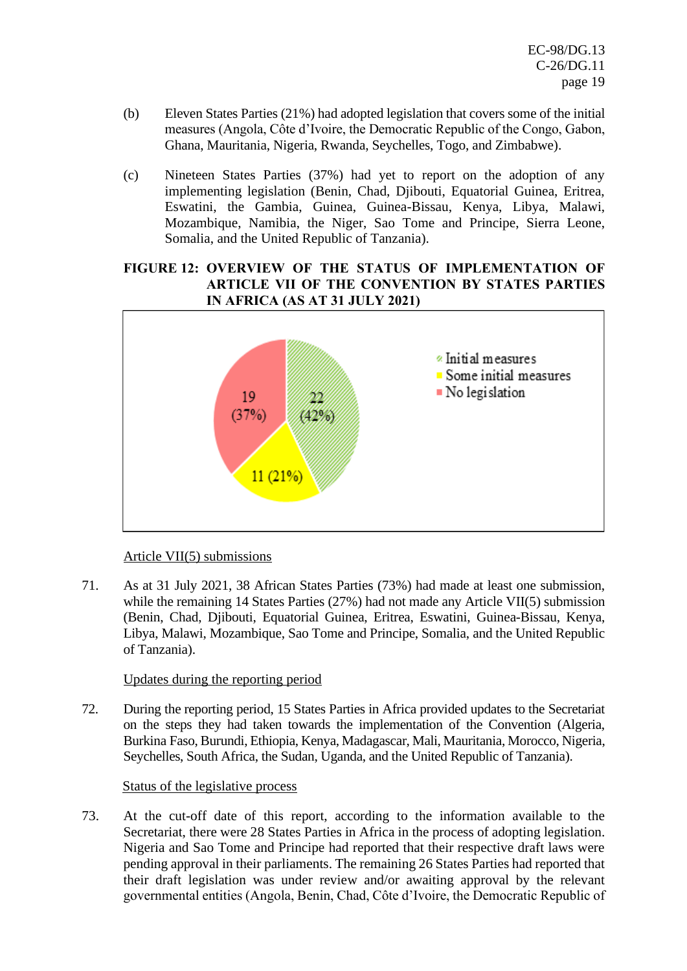- (b) Eleven States Parties (21%) had adopted legislation that covers some of the initial measures (Angola, Côte d'Ivoire, the Democratic Republic of the Congo, Gabon, Ghana, Mauritania, Nigeria, Rwanda, Seychelles, Togo, and Zimbabwe).
- (c) Nineteen States Parties (37%) had yet to report on the adoption of any implementing legislation (Benin, Chad, Djibouti, Equatorial Guinea, Eritrea, Eswatini, the Gambia, Guinea, Guinea-Bissau, Kenya, Libya, Malawi, Mozambique, Namibia, the Niger, Sao Tome and Principe, Sierra Leone, Somalia, and the United Republic of Tanzania).

### **FIGURE 12: OVERVIEW OF THE STATUS OF IMPLEMENTATION OF ARTICLE VII OF THE CONVENTION BY STATES PARTIES IN AFRICA (AS AT 31 JULY 2021)**



### Article VII(5) submissions

71. As at 31 July 2021, 38 African States Parties (73%) had made at least one submission, while the remaining 14 States Parties (27%) had not made any Article VII(5) submission (Benin, Chad, Djibouti, Equatorial Guinea, Eritrea, Eswatini, Guinea-Bissau, Kenya, Libya, Malawi, Mozambique, Sao Tome and Principe, Somalia, and the United Republic of Tanzania).

Updates during the reporting period

72. During the reporting period, 15 States Parties in Africa provided updates to the Secretariat on the steps they had taken towards the implementation of the Convention (Algeria, Burkina Faso, Burundi, Ethiopia, Kenya, Madagascar, Mali, Mauritania, Morocco, Nigeria, Seychelles, South Africa, the Sudan, Uganda, and the United Republic of Tanzania).

### Status of the legislative process

73. At the cut-off date of this report, according to the information available to the Secretariat, there were 28 States Parties in Africa in the process of adopting legislation. Nigeria and Sao Tome and Principe had reported that their respective draft laws were pending approval in their parliaments. The remaining 26 States Parties had reported that their draft legislation was under review and/or awaiting approval by the relevant governmental entities (Angola, Benin, Chad, Côte d'Ivoire, the Democratic Republic of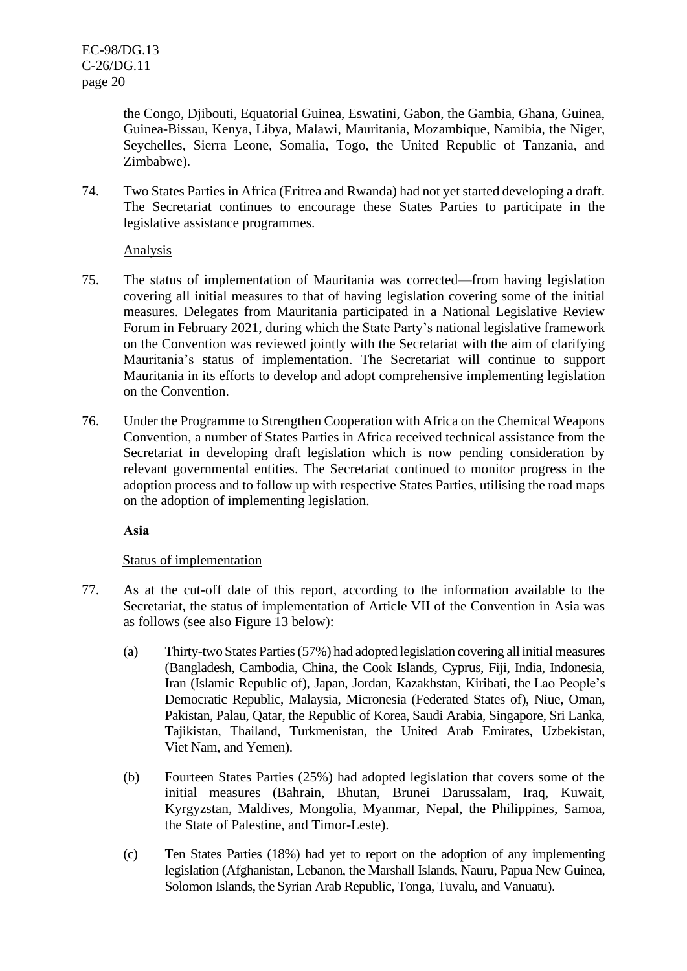the Congo, Djibouti, Equatorial Guinea, Eswatini, Gabon, the Gambia, Ghana, Guinea, Guinea-Bissau, Kenya, Libya, Malawi, Mauritania, Mozambique, Namibia, the Niger, Seychelles, Sierra Leone, Somalia, Togo, the United Republic of Tanzania, and Zimbabwe).

74. Two States Parties in Africa (Eritrea and Rwanda) had not yet started developing a draft. The Secretariat continues to encourage these States Parties to participate in the legislative assistance programmes.

Analysis

- 75. The status of implementation of Mauritania was corrected—from having legislation covering all initial measures to that of having legislation covering some of the initial measures. Delegates from Mauritania participated in a National Legislative Review Forum in February 2021, during which the State Party's national legislative framework on the Convention was reviewed jointly with the Secretariat with the aim of clarifying Mauritania's status of implementation. The Secretariat will continue to support Mauritania in its efforts to develop and adopt comprehensive implementing legislation on the Convention.
- 76. Under the Programme to Strengthen Cooperation with Africa on the Chemical Weapons Convention, a number of States Parties in Africa received technical assistance from the Secretariat in developing draft legislation which is now pending consideration by relevant governmental entities. The Secretariat continued to monitor progress in the adoption process and to follow up with respective States Parties, utilising the road maps on the adoption of implementing legislation.

**Asia**

### Status of implementation

- 77. As at the cut-off date of this report, according to the information available to the Secretariat, the status of implementation of Article VII of the Convention in Asia was as follows (see also Figure 13 below):
	- (a) Thirty-two States Parties (57%) had adopted legislation covering all initial measures (Bangladesh, Cambodia, China, the Cook Islands, Cyprus, Fiji, India, Indonesia, Iran (Islamic Republic of), Japan, Jordan, Kazakhstan, Kiribati, the Lao People's Democratic Republic, Malaysia, Micronesia (Federated States of), Niue, Oman, Pakistan, Palau, Qatar, the Republic of Korea, Saudi Arabia, Singapore, Sri Lanka, Tajikistan, Thailand, Turkmenistan, the United Arab Emirates, Uzbekistan, Viet Nam, and Yemen).
	- (b) Fourteen States Parties (25%) had adopted legislation that covers some of the initial measures (Bahrain, Bhutan, Brunei Darussalam, Iraq, Kuwait, Kyrgyzstan, Maldives, Mongolia, Myanmar, Nepal, the Philippines, Samoa, the State of Palestine, and Timor-Leste).
	- (c) Ten States Parties (18%) had yet to report on the adoption of any implementing legislation (Afghanistan, Lebanon, the Marshall Islands, Nauru, Papua New Guinea, Solomon Islands, the Syrian Arab Republic, Tonga, Tuvalu, and Vanuatu).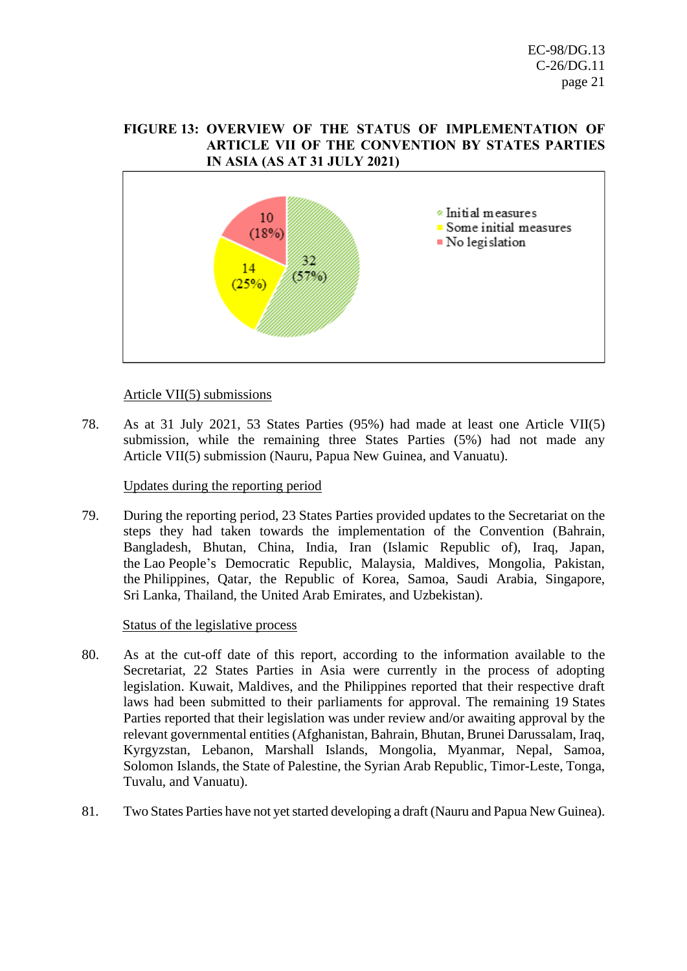#### **FIGURE 13: OVERVIEW OF THE STATUS OF IMPLEMENTATION OF ARTICLE VII OF THE CONVENTION BY STATES PARTIES IN ASIA (AS AT 31 JULY 2021)**



#### Article VII(5) submissions

78. As at 31 July 2021, 53 States Parties (95%) had made at least one Article VII(5) submission, while the remaining three States Parties (5%) had not made any Article VII(5) submission (Nauru, Papua New Guinea, and Vanuatu).

#### Updates during the reporting period

79. During the reporting period, 23 States Parties provided updates to the Secretariat on the steps they had taken towards the implementation of the Convention (Bahrain, Bangladesh, Bhutan, China, India, Iran (Islamic Republic of), Iraq, Japan, the Lao People's Democratic Republic, Malaysia, Maldives, Mongolia, Pakistan, the Philippines, Qatar, the Republic of Korea, Samoa, Saudi Arabia, Singapore, Sri Lanka, Thailand, the United Arab Emirates, and Uzbekistan).

#### Status of the legislative process

- 80. As at the cut-off date of this report, according to the information available to the Secretariat, 22 States Parties in Asia were currently in the process of adopting legislation. Kuwait, Maldives, and the Philippines reported that their respective draft laws had been submitted to their parliaments for approval. The remaining 19 States Parties reported that their legislation was under review and/or awaiting approval by the relevant governmental entities (Afghanistan, Bahrain, Bhutan, Brunei Darussalam, Iraq, Kyrgyzstan, Lebanon, Marshall Islands, Mongolia, Myanmar, Nepal, Samoa, Solomon Islands, the State of Palestine, the Syrian Arab Republic, Timor-Leste, Tonga, Tuvalu, and Vanuatu).
- 81. Two States Parties have not yet started developing a draft (Nauru and Papua New Guinea).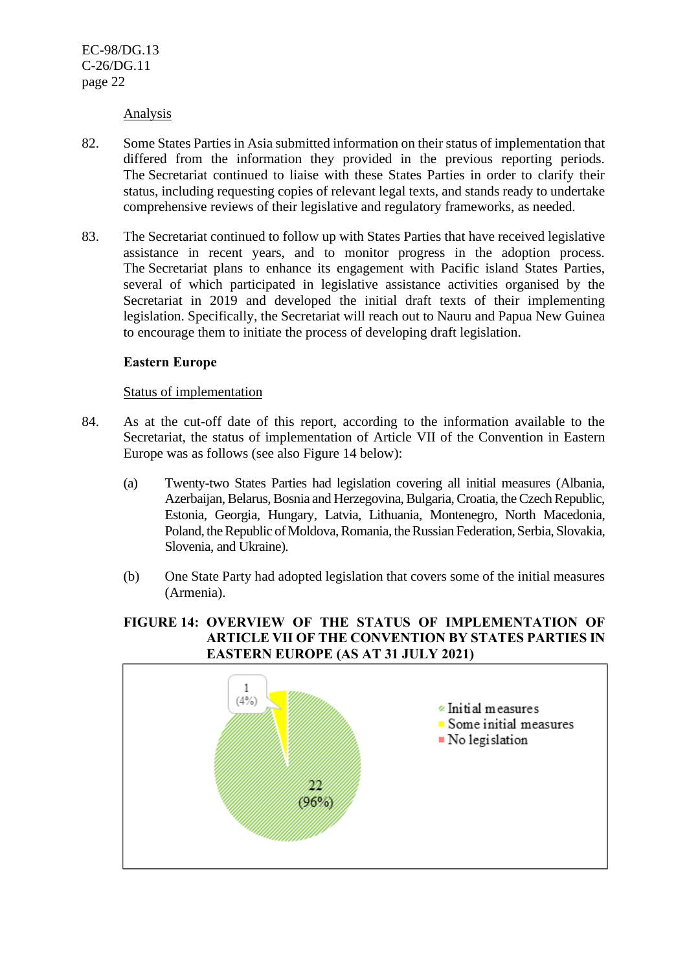Analysis

- 82. Some States Parties in Asia submitted information on their status of implementation that differed from the information they provided in the previous reporting periods. The Secretariat continued to liaise with these States Parties in order to clarify their status, including requesting copies of relevant legal texts, and stands ready to undertake comprehensive reviews of their legislative and regulatory frameworks, as needed.
- 83. The Secretariat continued to follow up with States Parties that have received legislative assistance in recent years, and to monitor progress in the adoption process. The Secretariat plans to enhance its engagement with Pacific island States Parties, several of which participated in legislative assistance activities organised by the Secretariat in 2019 and developed the initial draft texts of their implementing legislation. Specifically, the Secretariat will reach out to Nauru and Papua New Guinea to encourage them to initiate the process of developing draft legislation.

### **Eastern Europe**

#### Status of implementation

- 84. As at the cut-off date of this report, according to the information available to the Secretariat, the status of implementation of Article VII of the Convention in Eastern Europe was as follows (see also Figure 14 below):
	- (a) Twenty-two States Parties had legislation covering all initial measures (Albania, Azerbaijan, Belarus, Bosnia and Herzegovina, Bulgaria, Croatia, the Czech Republic, Estonia, Georgia, Hungary, Latvia, Lithuania, Montenegro, North Macedonia, Poland, the Republic of Moldova, Romania, the Russian Federation, Serbia, Slovakia, Slovenia, and Ukraine).
	- (b) One State Party had adopted legislation that covers some of the initial measures (Armenia).

#### **FIGURE 14: OVERVIEW OF THE STATUS OF IMPLEMENTATION OF ARTICLE VII OF THE CONVENTION BY STATES PARTIES IN EASTERN EUROPE (AS AT 31 JULY 2021)**

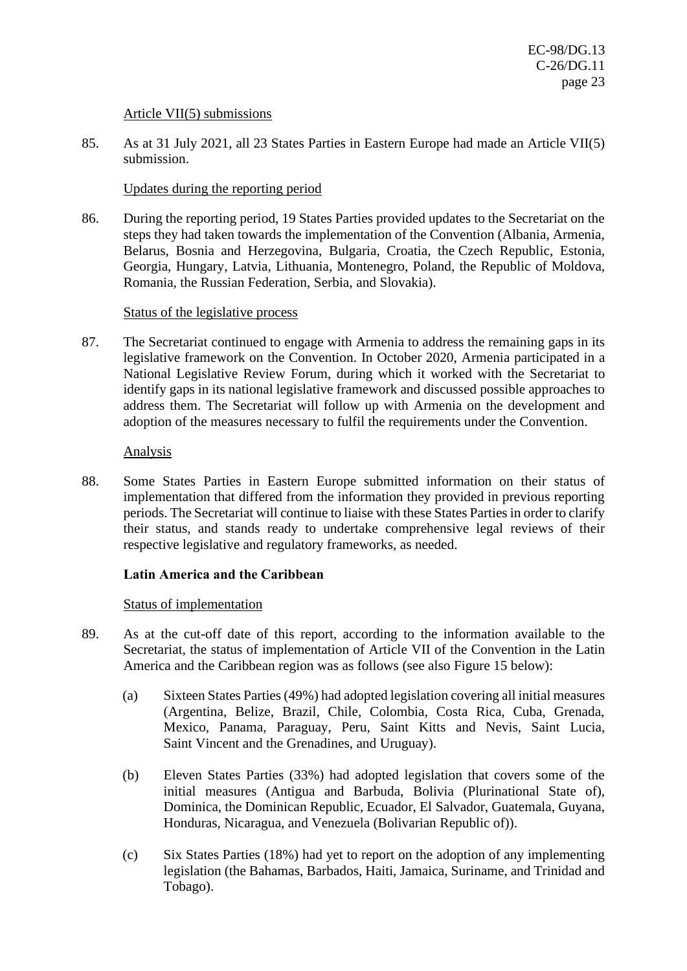#### Article VII(5) submissions

85. As at 31 July 2021, all 23 States Parties in Eastern Europe had made an Article VII(5) submission.

#### Updates during the reporting period

86. During the reporting period, 19 States Parties provided updates to the Secretariat on the steps they had taken towards the implementation of the Convention (Albania, Armenia, Belarus, Bosnia and Herzegovina, Bulgaria, Croatia, the Czech Republic, Estonia, Georgia, Hungary, Latvia, Lithuania, Montenegro, Poland, the Republic of Moldova, Romania, the Russian Federation, Serbia, and Slovakia).

#### Status of the legislative process

87. The Secretariat continued to engage with Armenia to address the remaining gaps in its legislative framework on the Convention. In October 2020, Armenia participated in a National Legislative Review Forum, during which it worked with the Secretariat to identify gaps in its national legislative framework and discussed possible approaches to address them. The Secretariat will follow up with Armenia on the development and adoption of the measures necessary to fulfil the requirements under the Convention.

#### Analysis

88. Some States Parties in Eastern Europe submitted information on their status of implementation that differed from the information they provided in previous reporting periods. The Secretariat will continue to liaise with these States Parties in order to clarify their status, and stands ready to undertake comprehensive legal reviews of their respective legislative and regulatory frameworks, as needed.

#### **Latin America and the Caribbean**

#### Status of implementation

- 89. As at the cut-off date of this report, according to the information available to the Secretariat, the status of implementation of Article VII of the Convention in the Latin America and the Caribbean region was as follows (see also Figure 15 below):
	- (a) Sixteen States Parties (49%) had adopted legislation covering all initial measures (Argentina, Belize, Brazil, Chile, Colombia, Costa Rica, Cuba, Grenada, Mexico, Panama, Paraguay, Peru, Saint Kitts and Nevis, Saint Lucia, Saint Vincent and the Grenadines, and Uruguay).
	- (b) Eleven States Parties (33%) had adopted legislation that covers some of the initial measures (Antigua and Barbuda, Bolivia (Plurinational State of), Dominica, the Dominican Republic, Ecuador, El Salvador, Guatemala, Guyana, Honduras, Nicaragua, and Venezuela (Bolivarian Republic of)).
	- (c) Six States Parties (18%) had yet to report on the adoption of any implementing legislation (the Bahamas, Barbados, Haiti, Jamaica, Suriname, and Trinidad and Tobago).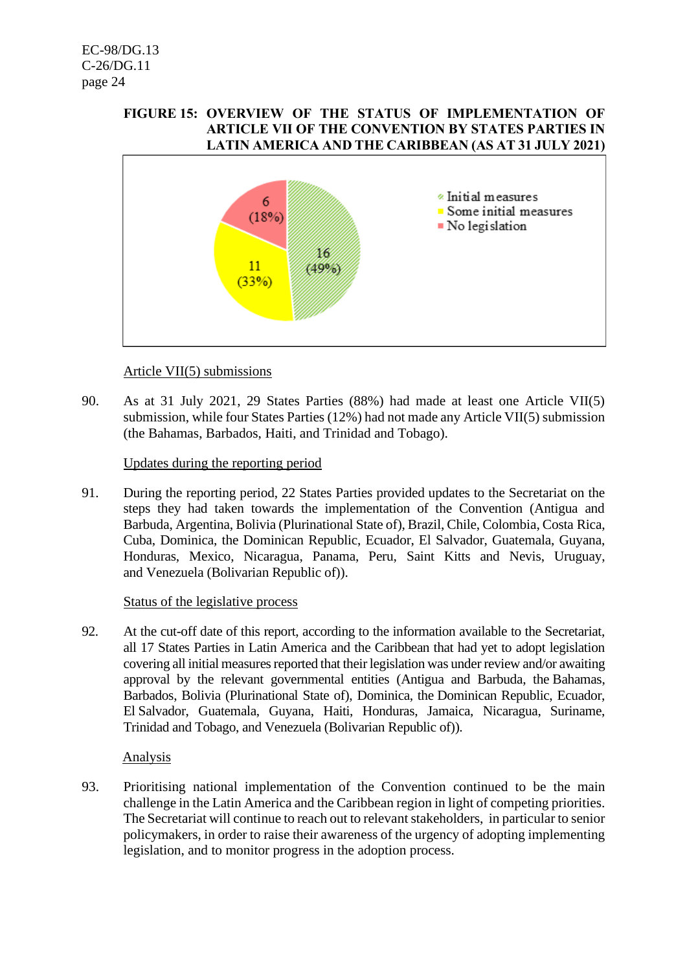#### **FIGURE 15: OVERVIEW OF THE STATUS OF IMPLEMENTATION OF ARTICLE VII OF THE CONVENTION BY STATES PARTIES IN LATIN AMERICA AND THE CARIBBEAN (AS AT 31 JULY 2021)**



# Article VII(5) submissions

90. As at 31 July 2021, 29 States Parties (88%) had made at least one Article VII(5) submission, while four States Parties (12%) had not made any Article VII(5) submission (the Bahamas, Barbados, Haiti, and Trinidad and Tobago).

Updates during the reporting period

91. During the reporting period, 22 States Parties provided updates to the Secretariat on the steps they had taken towards the implementation of the Convention (Antigua and Barbuda, Argentina, Bolivia (Plurinational State of), Brazil, Chile, Colombia, Costa Rica, Cuba, Dominica, the Dominican Republic, Ecuador, El Salvador, Guatemala, Guyana, Honduras, Mexico, Nicaragua, Panama, Peru, Saint Kitts and Nevis, Uruguay, and Venezuela (Bolivarian Republic of)).

### Status of the legislative process

92. At the cut-off date of this report, according to the information available to the Secretariat, all 17 States Parties in Latin America and the Caribbean that had yet to adopt legislation covering all initial measures reported that their legislation was under review and/or awaiting approval by the relevant governmental entities (Antigua and Barbuda, the Bahamas, Barbados, Bolivia (Plurinational State of), Dominica, the Dominican Republic, Ecuador, El Salvador, Guatemala, Guyana, Haiti, Honduras, Jamaica, Nicaragua, Suriname, Trinidad and Tobago, and Venezuela (Bolivarian Republic of)).

Analysis

93. Prioritising national implementation of the Convention continued to be the main challenge in the Latin America and the Caribbean region in light of competing priorities. The Secretariat will continue to reach out to relevant stakeholders, in particular to senior policymakers, in order to raise their awareness of the urgency of adopting implementing legislation, and to monitor progress in the adoption process.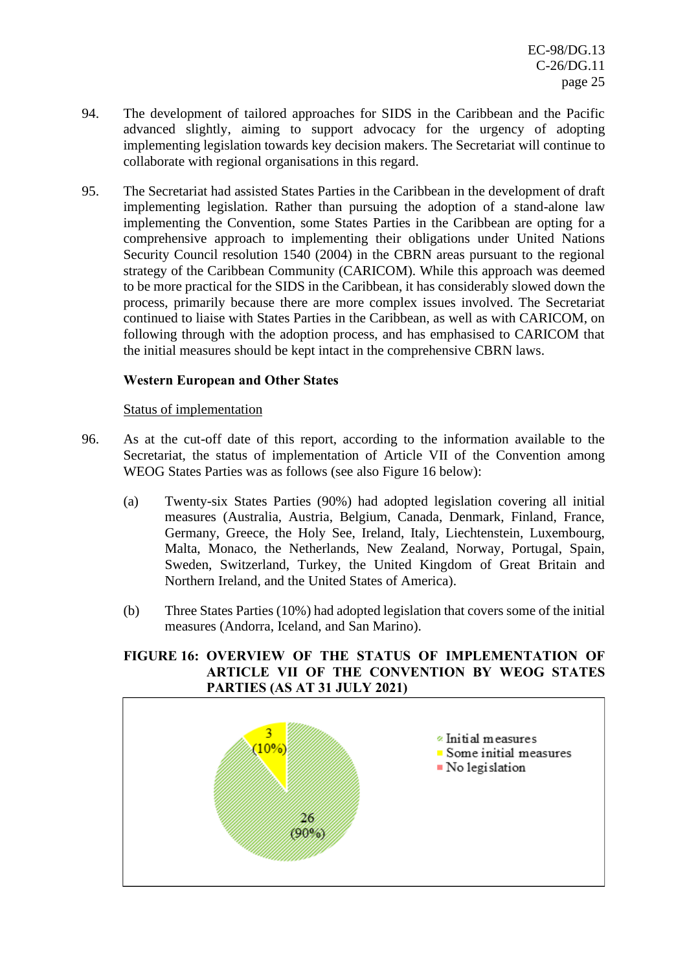- 94. The development of tailored approaches for SIDS in the Caribbean and the Pacific advanced slightly, aiming to support advocacy for the urgency of adopting implementing legislation towards key decision makers. The Secretariat will continue to collaborate with regional organisations in this regard.
- 95. The Secretariat had assisted States Parties in the Caribbean in the development of draft implementing legislation. Rather than pursuing the adoption of a stand-alone law implementing the Convention, some States Parties in the Caribbean are opting for a comprehensive approach to implementing their obligations under United Nations Security Council resolution 1540 (2004) in the CBRN areas pursuant to the regional strategy of the Caribbean Community (CARICOM). While this approach was deemed to be more practical for the SIDS in the Caribbean, it has considerably slowed down the process, primarily because there are more complex issues involved. The Secretariat continued to liaise with States Parties in the Caribbean, as well as with CARICOM, on following through with the adoption process, and has emphasised to CARICOM that the initial measures should be kept intact in the comprehensive CBRN laws.

### **Western European and Other States**

#### Status of implementation

- 96. As at the cut-off date of this report, according to the information available to the Secretariat, the status of implementation of Article VII of the Convention among WEOG States Parties was as follows (see also Figure 16 below):
	- (a) Twenty-six States Parties (90%) had adopted legislation covering all initial measures (Australia, Austria, Belgium, Canada, Denmark, Finland, France, Germany, Greece, the Holy See, Ireland, Italy, Liechtenstein, Luxembourg, Malta, Monaco, the Netherlands, New Zealand, Norway, Portugal, Spain, Sweden, Switzerland, Turkey, the United Kingdom of Great Britain and Northern Ireland, and the United States of America).
	- (b) Three States Parties (10%) had adopted legislation that covers some of the initial measures (Andorra, Iceland, and San Marino).

#### **FIGURE 16: OVERVIEW OF THE STATUS OF IMPLEMENTATION OF ARTICLE VII OF THE CONVENTION BY WEOG STATES PARTIES (AS AT 31 JULY 2021)**

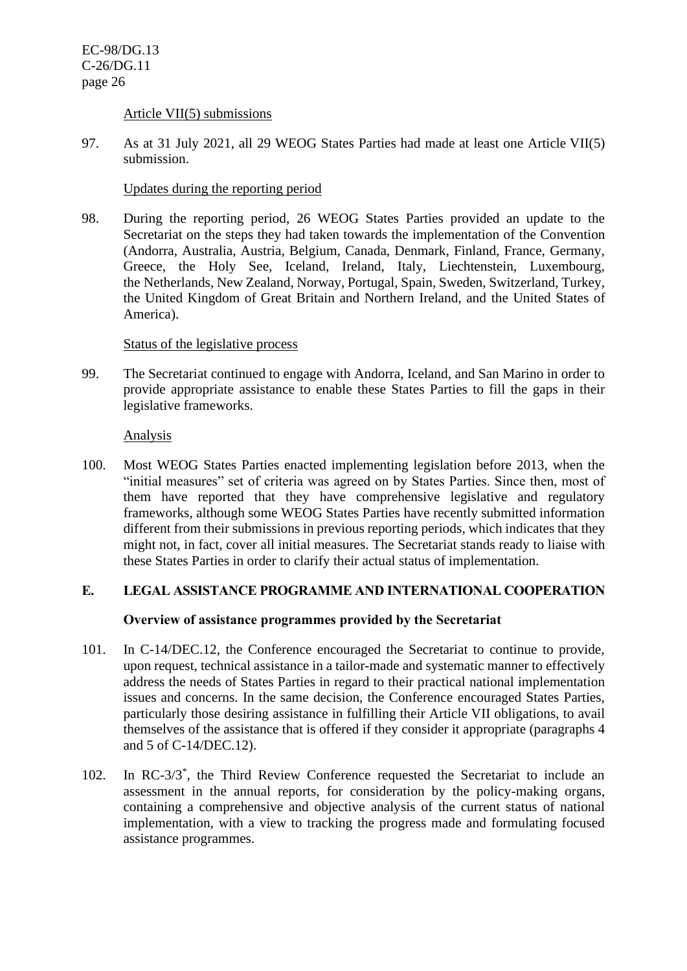#### Article VII(5) submissions

97. As at 31 July 2021, all 29 WEOG States Parties had made at least one Article VII(5) submission.

#### Updates during the reporting period

98. During the reporting period, 26 WEOG States Parties provided an update to the Secretariat on the steps they had taken towards the implementation of the Convention (Andorra, Australia, Austria, Belgium, Canada, Denmark, Finland, France, Germany, Greece, the Holy See, Iceland, Ireland, Italy, Liechtenstein, Luxembourg, the Netherlands, New Zealand, Norway, Portugal, Spain, Sweden, Switzerland, Turkey, the United Kingdom of Great Britain and Northern Ireland, and the United States of America).

#### Status of the legislative process

99. The Secretariat continued to engage with Andorra, Iceland, and San Marino in order to provide appropriate assistance to enable these States Parties to fill the gaps in their legislative frameworks.

Analysis

100. Most WEOG States Parties enacted implementing legislation before 2013, when the "initial measures" set of criteria was agreed on by States Parties. Since then, most of them have reported that they have comprehensive legislative and regulatory frameworks, although some WEOG States Parties have recently submitted information different from their submissions in previous reporting periods, which indicates that they might not, in fact, cover all initial measures. The Secretariat stands ready to liaise with these States Parties in order to clarify their actual status of implementation.

#### **E. LEGAL ASSISTANCE PROGRAMME AND INTERNATIONAL COOPERATION**

#### **Overview of assistance programmes provided by the Secretariat**

- 101. In C-14/DEC.12, the Conference encouraged the Secretariat to continue to provide, upon request, technical assistance in a tailor-made and systematic manner to effectively address the needs of States Parties in regard to their practical national implementation issues and concerns. In the same decision, the Conference encouraged States Parties, particularly those desiring assistance in fulfilling their Article VII obligations, to avail themselves of the assistance that is offered if they consider it appropriate (paragraphs 4 and 5 of C-14/DEC.12).
- 102. In RC-3/3\* , the Third Review Conference requested the Secretariat to include an assessment in the annual reports, for consideration by the policy-making organs, containing a comprehensive and objective analysis of the current status of national implementation, with a view to tracking the progress made and formulating focused assistance programmes.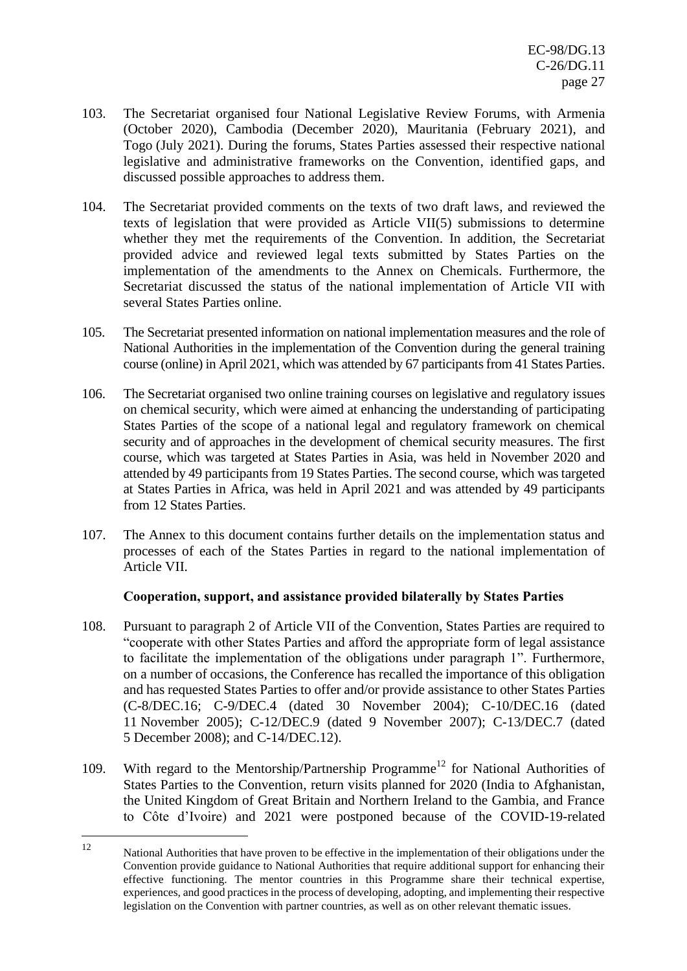- 103. The Secretariat organised four National Legislative Review Forums, with Armenia (October 2020), Cambodia (December 2020), Mauritania (February 2021), and Togo (July 2021). During the forums, States Parties assessed their respective national legislative and administrative frameworks on the Convention, identified gaps, and discussed possible approaches to address them.
- 104. The Secretariat provided comments on the texts of two draft laws, and reviewed the texts of legislation that were provided as Article VII(5) submissions to determine whether they met the requirements of the Convention. In addition, the Secretariat provided advice and reviewed legal texts submitted by States Parties on the implementation of the amendments to the Annex on Chemicals. Furthermore, the Secretariat discussed the status of the national implementation of Article VII with several States Parties online.
- 105. The Secretariat presented information on national implementation measures and the role of National Authorities in the implementation of the Convention during the general training course (online) in April 2021, which was attended by 67 participants from 41 States Parties.
- 106. The Secretariat organised two online training courses on legislative and regulatory issues on chemical security, which were aimed at enhancing the understanding of participating States Parties of the scope of a national legal and regulatory framework on chemical security and of approaches in the development of chemical security measures. The first course, which was targeted at States Parties in Asia, was held in November 2020 and attended by 49 participants from 19 States Parties. The second course, which was targeted at States Parties in Africa, was held in April 2021 and was attended by 49 participants from 12 States Parties.
- 107. The Annex to this document contains further details on the implementation status and processes of each of the States Parties in regard to the national implementation of Article VII.

### **Cooperation, support, and assistance provided bilaterally by States Parties**

- 108. Pursuant to paragraph 2 of Article VII of the Convention, States Parties are required to "cooperate with other States Parties and afford the appropriate form of legal assistance to facilitate the implementation of the obligations under paragraph 1". Furthermore, on a number of occasions, the Conference has recalled the importance of this obligation and has requested States Parties to offer and/or provide assistance to other States Parties (C-8/DEC.16; C-9/DEC.4 (dated 30 November 2004); C-10/DEC.16 (dated 11 November 2005); C-12/DEC.9 (dated 9 November 2007); C-13/DEC.7 (dated 5 December 2008); and C-14/DEC.12).
- 109. With regard to the Mentorship/Partnership Programme<sup>12</sup> for National Authorities of States Parties to the Convention, return visits planned for 2020 (India to Afghanistan, the United Kingdom of Great Britain and Northern Ireland to the Gambia, and France to Côte d'Ivoire) and 2021 were postponed because of the COVID-19-related

<sup>12</sup> National Authorities that have proven to be effective in the implementation of their obligations under the Convention provide guidance to National Authorities that require additional support for enhancing their effective functioning. The mentor countries in this Programme share their technical expertise, experiences, and good practices in the process of developing, adopting, and implementing their respective legislation on the Convention with partner countries, as well as on other relevant thematic issues.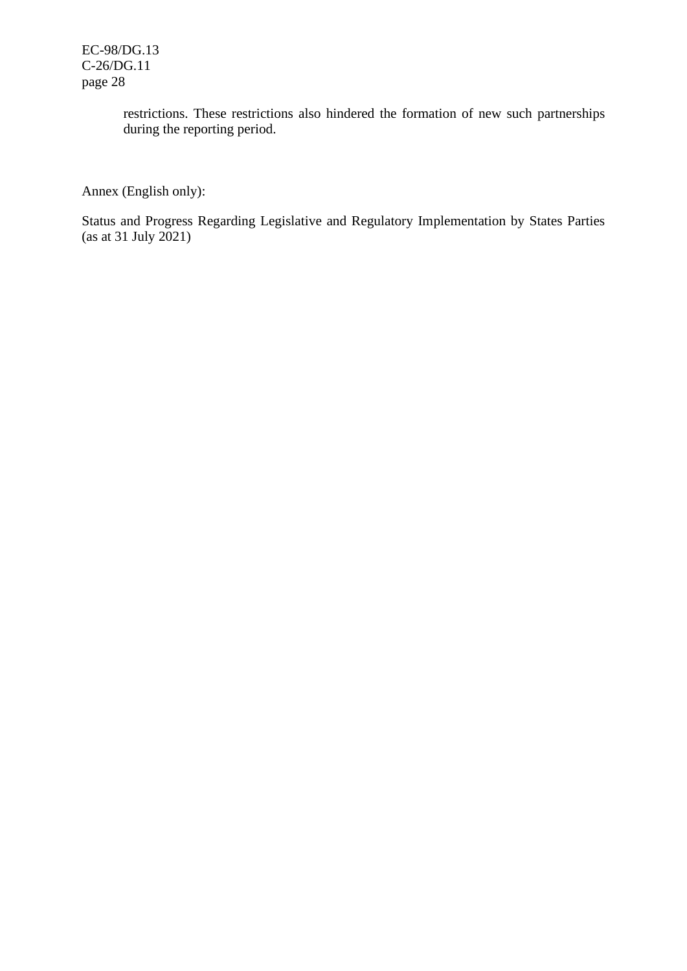restrictions. These restrictions also hindered the formation of new such partnerships during the reporting period.

Annex (English only):

Status and Progress Regarding Legislative and Regulatory Implementation by States Parties (as at 31 July 2021)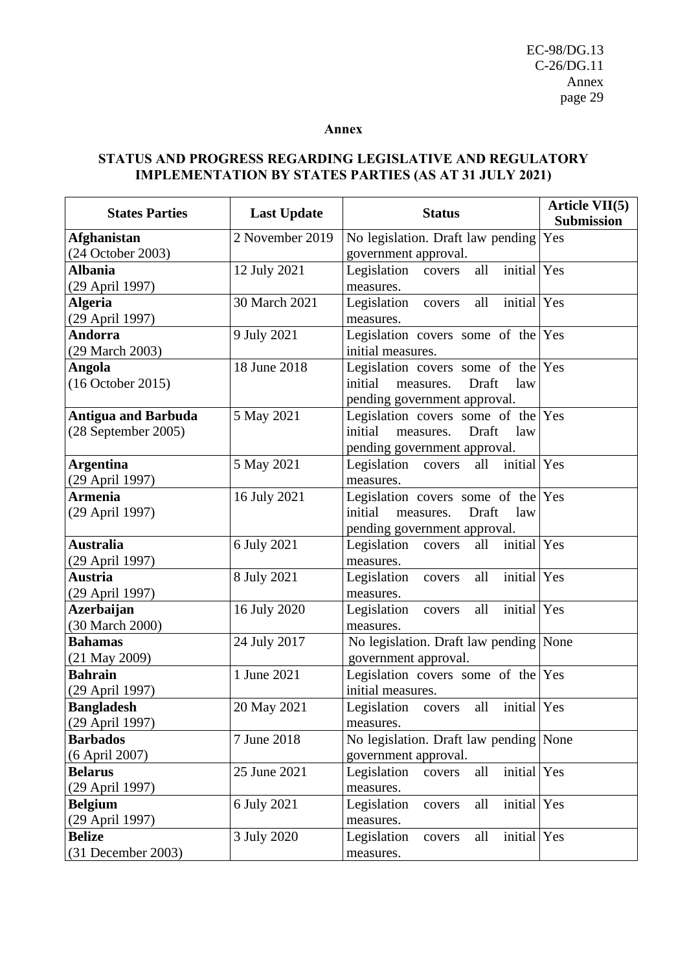#### **Annex**

# **STATUS AND PROGRESS REGARDING LEGISLATIVE AND REGULATORY IMPLEMENTATION BY STATES PARTIES (AS AT 31 JULY 2021)**

| <b>States Parties</b>                | <b>Last Update</b> | <b>Status</b>                                              | Article VII(5)<br><b>Submission</b> |
|--------------------------------------|--------------------|------------------------------------------------------------|-------------------------------------|
| <b>Afghanistan</b>                   | 2 November 2019    | No legislation. Draft law pending                          | Yes                                 |
| (24 October 2003)                    |                    | government approval.                                       |                                     |
| <b>Albania</b>                       | 12 July 2021       | initial Yes<br>Legislation covers<br>all                   |                                     |
| (29 April 1997)                      |                    | measures.                                                  |                                     |
| <b>Algeria</b>                       | 30 March 2021      | initial Yes<br>Legislation covers<br>all                   |                                     |
| (29 April 1997)                      |                    | measures.                                                  |                                     |
| Andorra                              | 9 July 2021        | Legislation covers some of the Yes                         |                                     |
| (29 March 2003)                      |                    | initial measures.                                          |                                     |
| <b>Angola</b>                        | 18 June 2018       | Legislation covers some of the Yes                         |                                     |
| (16 October 2015)                    |                    | initial measures.<br>Draft<br>law                          |                                     |
|                                      |                    | pending government approval.                               |                                     |
| <b>Antigua and Barbuda</b>           | 5 May 2021         | Legislation covers some of the Yes                         |                                     |
| $(28$ September 2005)                |                    | initial<br>Draft<br>measures.<br>law                       |                                     |
|                                      |                    | pending government approval.                               |                                     |
| <b>Argentina</b>                     | 5 May 2021         | initial Yes<br>Legislation covers<br>all                   |                                     |
| (29 April 1997)                      |                    | measures.                                                  |                                     |
| <b>Armenia</b>                       | 16 July 2021       | Legislation covers some of the Yes                         |                                     |
| (29 April 1997)                      |                    | Draft<br>initial<br>measures.<br>law                       |                                     |
|                                      |                    | pending government approval.                               |                                     |
| <b>Australia</b>                     | 6 July 2021        | Legislation covers<br>initial Yes<br>all                   |                                     |
| (29 April 1997)                      |                    | measures.                                                  |                                     |
| Austria                              | 8 July 2021        | initial Yes<br>all<br>Legislation covers                   |                                     |
| (29 April 1997)                      |                    | measures.                                                  |                                     |
| <b>Azerbaijan</b>                    | 16 July 2020       | initial Yes<br>Legislation covers<br>all                   |                                     |
| (30 March 2000)                      |                    | measures.                                                  |                                     |
| <b>Bahamas</b>                       | 24 July 2017       | No legislation. Draft law pending None                     |                                     |
| $(21$ May $2009)$<br><b>Bahrain</b>  | 1 June 2021        | government approval.<br>Legislation covers some of the Yes |                                     |
|                                      |                    | initial measures.                                          |                                     |
| (29 April 1997)<br><b>Bangladesh</b> | 20 May 2021        | initial Yes<br>Legislation covers<br>all                   |                                     |
| (29 April 1997)                      |                    | measures.                                                  |                                     |
| <b>Barbados</b>                      | 7 June 2018        | No legislation. Draft law pending None                     |                                     |
| (6 April 2007)                       |                    | government approval.                                       |                                     |
| <b>Belarus</b>                       | 25 June 2021       | initial Yes<br>Legislation<br>all<br>covers                |                                     |
| (29 April 1997)                      |                    | measures.                                                  |                                     |
| <b>Belgium</b>                       | 6 July 2021        | initial Yes<br>Legislation<br>all<br>covers                |                                     |
| (29 April 1997)                      |                    | measures.                                                  |                                     |
| <b>Belize</b>                        | 3 July 2020        | initial Yes<br>Legislation<br>all<br>covers                |                                     |
| $(31$ December 2003)                 |                    | measures.                                                  |                                     |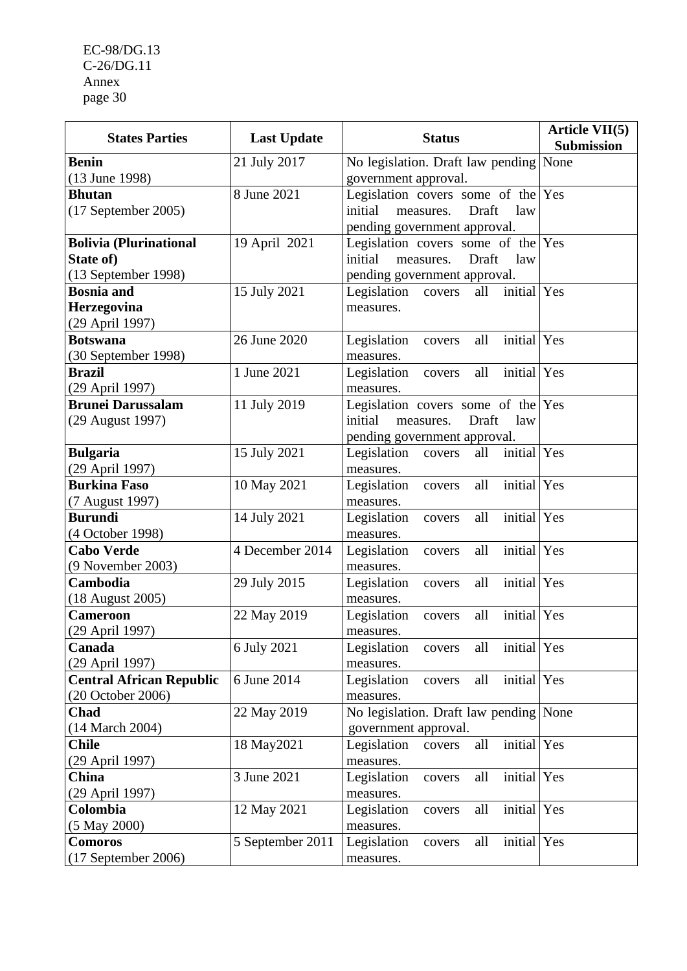| <b>States Parties</b>           | <b>Last Update</b> | <b>Status</b>                               | Article VII(5)<br><b>Submission</b> |
|---------------------------------|--------------------|---------------------------------------------|-------------------------------------|
| <b>Benin</b>                    | 21 July 2017       | No legislation. Draft law pending None      |                                     |
| (13 June 1998)                  |                    | government approval.                        |                                     |
| <b>Bhutan</b>                   | 8 June 2021        | Legislation covers some of the Yes          |                                     |
| $(17$ September 2005)           |                    | initial<br>Draft<br>measures.<br>law        |                                     |
|                                 |                    | pending government approval.                |                                     |
| <b>Bolivia (Plurinational</b>   | 19 April 2021      | Legislation covers some of the Yes          |                                     |
| State of)                       |                    | Draft<br>initial<br>law<br>measures.        |                                     |
| $(13$ September 1998)           |                    | pending government approval.                |                                     |
| <b>Bosnia and</b>               | 15 July 2021       | all initial Yes<br>Legislation covers       |                                     |
| <b>Herzegovina</b>              |                    | measures.                                   |                                     |
| (29 April 1997)                 |                    |                                             |                                     |
| <b>Botswana</b>                 | 26 June 2020       | initial Yes<br>all<br>Legislation covers    |                                     |
| (30 September 1998)             |                    | measures.                                   |                                     |
| <b>Brazil</b>                   | 1 June 2021        | initial Yes<br>Legislation<br>all<br>covers |                                     |
| (29 April 1997)                 |                    | measures.                                   |                                     |
| <b>Brunei Darussalam</b>        | 11 July 2019       | Legislation covers some of the Yes          |                                     |
| (29 August 1997)                |                    | initial<br>Draft<br>measures.<br>law        |                                     |
|                                 |                    | pending government approval.                |                                     |
| <b>Bulgaria</b>                 | 15 July 2021       | initial Yes<br>Legislation<br>all<br>covers |                                     |
| (29 April 1997)                 |                    | measures.                                   |                                     |
| <b>Burkina Faso</b>             | 10 May 2021        | initial Yes<br>Legislation<br>all<br>covers |                                     |
| (7 August 1997)                 |                    | measures.                                   |                                     |
| <b>Burundi</b>                  | 14 July 2021       | initial Yes<br>all<br>Legislation<br>covers |                                     |
| (4 October 1998)                |                    | measures.                                   |                                     |
| <b>Cabo Verde</b>               | 4 December 2014    | initial Yes<br>all<br>Legislation<br>covers |                                     |
| $(9$ November 2003)             |                    | measures.                                   |                                     |
| Cambodia                        | 29 July 2015       | initial Yes<br>Legislation<br>all<br>covers |                                     |
| (18 August 2005)                |                    | measures.                                   |                                     |
| <b>Cameroon</b>                 | 22 May 2019        | initial Yes<br>Legislation<br>all<br>covers |                                     |
| (29 April 1997)                 |                    | measures.                                   |                                     |
| Canada                          | 6 July 2021        | initial Yes<br>Legislation<br>all<br>covers |                                     |
| (29 April 1997)                 |                    | measures.                                   |                                     |
| <b>Central African Republic</b> | 6 June 2014        | all<br>initial Yes<br>Legislation<br>covers |                                     |
| (20 October 2006)               |                    | measures.                                   |                                     |
| Chad                            | 22 May 2019        | No legislation. Draft law pending None      |                                     |
| (14 March 2004)                 |                    | government approval.                        |                                     |
| <b>Chile</b>                    | 18 May 2021        | initial Yes<br>Legislation<br>all<br>covers |                                     |
| (29 April 1997)                 |                    | measures.                                   |                                     |
| China                           | 3 June 2021        | initial Yes<br>Legislation<br>all<br>covers |                                     |
| (29 April 1997)                 |                    | measures.                                   |                                     |
| Colombia                        | 12 May 2021        | initial Yes<br>Legislation<br>all<br>covers |                                     |
| $(5$ May 2000)                  |                    | measures.                                   |                                     |
| <b>Comoros</b>                  | 5 September 2011   | Legislation<br>initial Yes<br>all<br>covers |                                     |
| $(17$ September 2006)           |                    | measures.                                   |                                     |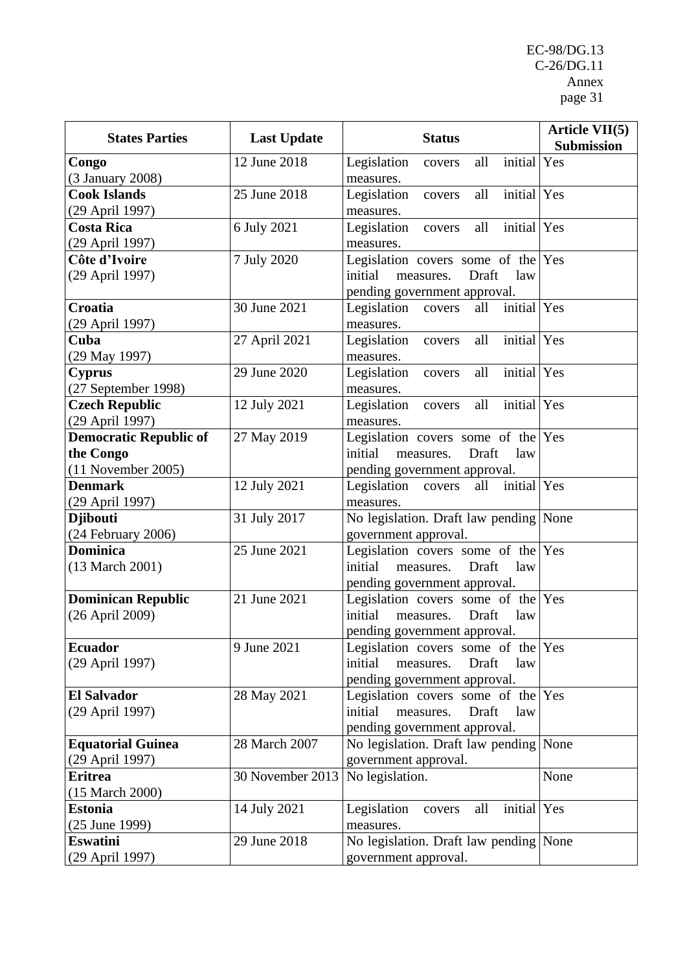| <b>States Parties</b>         | <b>Last Update</b> | <b>Status</b>                               | <b>Article VII(5)</b><br><b>Submission</b> |
|-------------------------------|--------------------|---------------------------------------------|--------------------------------------------|
| Congo                         | 12 June 2018       | initial Yes<br>Legislation<br>all<br>covers |                                            |
| (3 January 2008)              |                    | measures.                                   |                                            |
| <b>Cook Islands</b>           | 25 June 2018       | initial Yes<br>Legislation<br>all<br>covers |                                            |
| (29 April 1997)               |                    | measures.                                   |                                            |
| <b>Costa Rica</b>             | 6 July 2021        | Legislation<br>all<br>initial Yes<br>covers |                                            |
| (29 April 1997)               |                    | measures.                                   |                                            |
| Côte d'Ivoire                 | 7 July 2020        | Legislation covers some of the Yes          |                                            |
| (29 April 1997)               |                    | initial<br>Draft<br>measures.<br>law        |                                            |
|                               |                    | pending government approval.                |                                            |
| Croatia                       | 30 June 2021       | initial Yes<br>Legislation covers<br>all    |                                            |
| (29 April 1997)               |                    | measures.                                   |                                            |
| Cuba                          | 27 April 2021      | initial Yes<br>all<br>Legislation<br>covers |                                            |
| (29 May 1997)                 |                    | measures.                                   |                                            |
| <b>Cyprus</b>                 | 29 June 2020       | initial Yes<br>Legislation covers<br>all    |                                            |
| (27 September 1998)           |                    | measures.                                   |                                            |
| <b>Czech Republic</b>         | 12 July 2021       | initial Yes<br>Legislation<br>all<br>covers |                                            |
| (29 April 1997)               |                    | measures.                                   |                                            |
| <b>Democratic Republic of</b> | 27 May 2019        | Legislation covers some of the Yes          |                                            |
| the Congo                     |                    | initial<br>Draft<br>measures.<br>law        |                                            |
| $(11$ November 2005)          |                    | pending government approval.                |                                            |
| <b>Denmark</b>                | 12 July 2021       | initial Yes<br>Legislation covers<br>all    |                                            |
| (29 April 1997)               |                    | measures.                                   |                                            |
| <b>Djibouti</b>               | 31 July 2017       | No legislation. Draft law pending None      |                                            |
| (24 February 2006)            |                    | government approval.                        |                                            |
| <b>Dominica</b>               | 25 June 2021       | Legislation covers some of the Yes          |                                            |
| (13 March 2001)               |                    | initial<br>Draft<br>measures.<br>law        |                                            |
|                               |                    | pending government approval.                |                                            |
| <b>Dominican Republic</b>     | 21 June 2021       | Legislation covers some of the Yes          |                                            |
| (26 April 2009)               |                    | initial<br>Draft<br>measures.<br>law        |                                            |
|                               |                    | pending government approval.                |                                            |
| <b>Ecuador</b>                | 9 June 2021        | Legislation covers some of the Yes          |                                            |
| (29 April 1997)               |                    | initial<br>Draft<br>measures.<br>law        |                                            |
|                               |                    | pending government approval.                |                                            |
| <b>El Salvador</b>            | 28 May 2021        | Legislation covers some of the Yes          |                                            |
| (29 April 1997)               |                    | initial<br>Draft<br>measures.<br>law        |                                            |
|                               |                    | pending government approval.                |                                            |
| <b>Equatorial Guinea</b>      | 28 March 2007      | No legislation. Draft law pending None      |                                            |
| (29 April 1997)               |                    | government approval.                        |                                            |
| <b>Eritrea</b>                | 30 November 2013   | No legislation.                             | None                                       |
| (15 March 2000)               |                    |                                             |                                            |
| <b>Estonia</b>                | 14 July 2021       | Legislation<br>all<br>initial Yes<br>covers |                                            |
| (25 June 1999)                |                    | measures.                                   |                                            |
| <b>Eswatini</b>               | 29 June 2018       | No legislation. Draft law pending None      |                                            |
| (29 April 1997)               |                    | government approval.                        |                                            |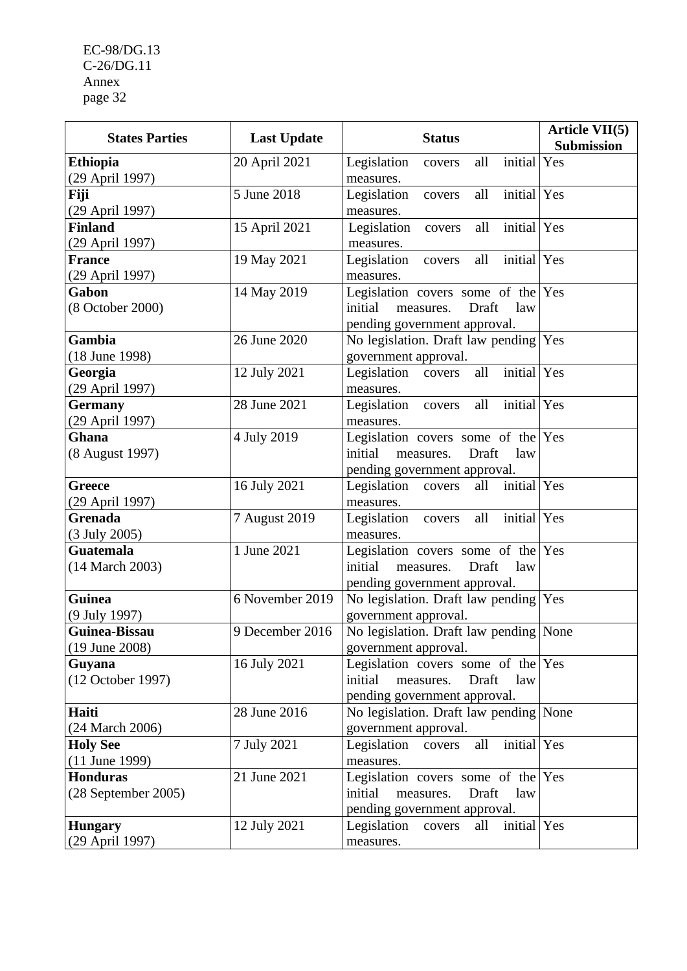| <b>States Parties</b>       | <b>Last Update</b> | <b>Status</b>                                                              | <b>Article VII(5)</b><br><b>Submission</b> |
|-----------------------------|--------------------|----------------------------------------------------------------------------|--------------------------------------------|
| Ethiopia                    | 20 April 2021      | initial Yes<br>Legislation<br>all<br>covers                                |                                            |
| (29 April 1997)             |                    | measures.                                                                  |                                            |
| Fiji                        | 5 June 2018        | Legislation<br>all<br>initial Yes<br>covers                                |                                            |
| (29 April 1997)             |                    | measures.                                                                  |                                            |
| <b>Finland</b>              | 15 April 2021      | all<br>initial Yes<br>Legislation covers                                   |                                            |
| (29 April 1997)             |                    | measures.                                                                  |                                            |
| <b>France</b>               | 19 May 2021        | initial Yes<br>Legislation covers<br>all                                   |                                            |
| (29 April 1997)             |                    | measures.                                                                  |                                            |
| Gabon                       | 14 May 2019        | Legislation covers some of the Yes                                         |                                            |
| (8 October 2000)            |                    | initial<br>Draft<br>measures.<br>law                                       |                                            |
|                             |                    | pending government approval.                                               |                                            |
| Gambia                      | 26 June 2020       | No legislation. Draft law pending Yes                                      |                                            |
| (18 June 1998)              |                    | government approval.                                                       |                                            |
| Georgia                     | 12 July 2021       | initial Yes<br>all<br>Legislation covers                                   |                                            |
| (29 April 1997)             |                    | measures.                                                                  |                                            |
| <b>Germany</b>              | 28 June 2021       | initial Yes<br>Legislation covers<br>all                                   |                                            |
| (29 April 1997)             |                    | measures.                                                                  |                                            |
| Ghana                       | 4 July 2019        | Legislation covers some of the Yes                                         |                                            |
| (8 August 1997)             |                    | initial<br>Draft<br>measures.<br>law                                       |                                            |
|                             |                    | pending government approval.                                               |                                            |
| <b>Greece</b>               | 16 July 2021       | initial Yes<br>Legislation covers<br>all                                   |                                            |
| (29 April 1997)             |                    | measures.                                                                  |                                            |
| Grenada                     | 7 August 2019      | initial Yes<br>Legislation covers<br>all                                   |                                            |
| (3 July 2005)               |                    | measures.                                                                  |                                            |
| <b>Guatemala</b>            | 1 June 2021        | Legislation covers some of the Yes                                         |                                            |
| (14 March 2003)             |                    | initial<br>Draft<br>law<br>measures.                                       |                                            |
|                             |                    | pending government approval.                                               |                                            |
| Guinea                      | 6 November 2019    | No legislation. Draft law pending Yes                                      |                                            |
| (9 July 1997)               |                    | government approval.                                                       |                                            |
| Guinea-Bissau               | 9 December 2016    | No legislation. Draft law pending None                                     |                                            |
| (19 June 2008)              |                    | government approval.                                                       |                                            |
| Guyana<br>(12 October 1997) | 16 July 2021       | Legislation covers some of the Yes<br>initial<br>measures.<br>Draft<br>law |                                            |
|                             |                    |                                                                            |                                            |
| Haiti                       | 28 June 2016       | pending government approval.<br>No legislation. Draft law pending None     |                                            |
| (24 March 2006)             |                    | government approval.                                                       |                                            |
| <b>Holy See</b>             | 7 July 2021        | Legislation<br>all<br>initial Yes<br>covers                                |                                            |
| $(11$ June 1999)            |                    | measures.                                                                  |                                            |
| <b>Honduras</b>             | 21 June 2021       | Legislation covers some of the Yes                                         |                                            |
| (28 September 2005)         |                    | Draft<br>initial<br>measures.<br>law                                       |                                            |
|                             |                    | pending government approval.                                               |                                            |
| <b>Hungary</b>              | 12 July 2021       | Legislation<br>initial Yes<br>all<br>covers                                |                                            |
| (29 April 1997)             |                    | measures.                                                                  |                                            |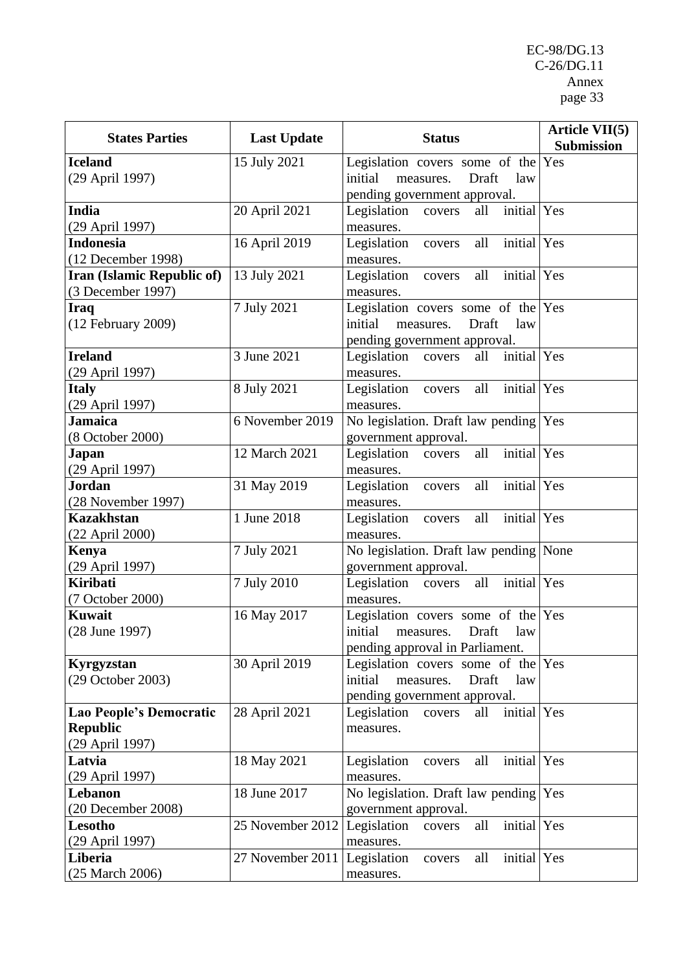| <b>States Parties</b>             | <b>Last Update</b> | <b>Status</b>                                   | <b>Article VII(5)</b><br><b>Submission</b> |
|-----------------------------------|--------------------|-------------------------------------------------|--------------------------------------------|
| <b>Iceland</b>                    | 15 July 2021       | Legislation covers some of the $Yes$            |                                            |
| (29 April 1997)                   |                    | initial<br>Draft<br>measures.<br>law            |                                            |
|                                   |                    | pending government approval.                    |                                            |
| India                             | 20 April 2021      | initial Yes<br>Legislation covers<br>all        |                                            |
| (29 April 1997)                   |                    | measures.                                       |                                            |
| <b>Indonesia</b>                  | 16 April 2019      | initial Yes<br>Legislation covers<br>all        |                                            |
| (12 December 1998)                |                    | measures.                                       |                                            |
| Iran (Islamic Republic of)        | 13 July 2021       | initial Yes<br>Legislation covers<br>all        |                                            |
| (3 December 1997)                 | 7 July 2021        | measures.<br>Legislation covers some of the Yes |                                            |
| <b>Iraq</b><br>(12 February 2009) |                    | initial<br>Draft<br>measures.<br>law            |                                            |
|                                   |                    | pending government approval.                    |                                            |
| <b>Ireland</b>                    | 3 June 2021        | Legislation covers<br>initial Yes<br>all        |                                            |
| (29 April 1997)                   |                    | measures.                                       |                                            |
| <b>Italy</b>                      | 8 July 2021        | all<br>initial Yes<br>Legislation covers        |                                            |
| (29 April 1997)                   |                    | measures.                                       |                                            |
| <b>Jamaica</b>                    | 6 November 2019    | No legislation. Draft law pending Yes           |                                            |
| (8 October 2000)                  |                    | government approval.                            |                                            |
| Japan                             | 12 March 2021      | Legislation covers<br>all<br>initial Yes        |                                            |
| (29 April 1997)                   |                    | measures.                                       |                                            |
| <b>Jordan</b>                     | 31 May 2019        | initial Yes<br>Legislation covers<br>all        |                                            |
| (28 November 1997)                |                    | measures.                                       |                                            |
| <b>Kazakhstan</b>                 | 1 June 2018        | initial Yes<br>Legislation covers<br>all        |                                            |
| (22 April 2000)                   |                    | measures.                                       |                                            |
| Kenya                             | 7 July 2021        | No legislation. Draft law pending None          |                                            |
| (29 April 1997)                   |                    | government approval.                            |                                            |
| <b>Kiribati</b>                   | 7 July 2010        | initial Yes<br>Legislation<br>all<br>covers     |                                            |
| (7 October 2000)<br><b>Kuwait</b> | 16 May 2017        | measures.<br>Legislation covers some of the Yes |                                            |
| (28 June 1997)                    |                    | initial<br>Draft<br>law<br>measures.            |                                            |
|                                   |                    | pending approval in Parliament.                 |                                            |
| Kyrgyzstan                        | 30 April 2019      | Legislation covers some of the $Yes$            |                                            |
| (29 October 2003)                 |                    | Draft<br>initial<br>law<br>measures.            |                                            |
|                                   |                    | pending government approval.                    |                                            |
| <b>Lao People's Democratic</b>    | 28 April 2021      | initial Yes<br>Legislation<br>all<br>covers     |                                            |
| <b>Republic</b>                   |                    | measures.                                       |                                            |
| (29 April 1997)                   |                    |                                                 |                                            |
| Latvia                            | 18 May 2021        | initial Yes<br>Legislation<br>all<br>covers     |                                            |
| (29 April 1997)                   |                    | measures.                                       |                                            |
| Lebanon                           | 18 June 2017       | No legislation. Draft law pending               | Yes                                        |
| (20 December 2008)                |                    | government approval.                            |                                            |
| <b>Lesotho</b>                    | 25 November 2012   | initial Yes<br>Legislation<br>all<br>covers     |                                            |
| (29 April 1997)                   |                    | measures.                                       |                                            |
| Liberia                           | 27 November 2011   | Legislation<br>all<br>initial Yes<br>covers     |                                            |
| (25 March 2006)                   |                    | measures.                                       |                                            |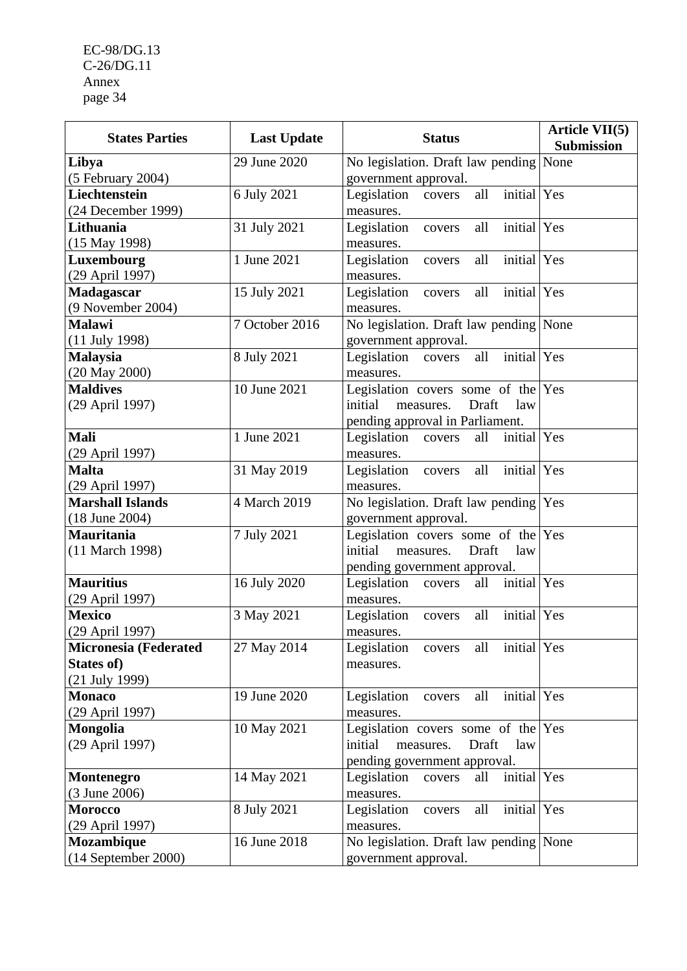| <b>States Parties</b>   | <b>Last Update</b> | <b>Status</b>                               | <b>Article VII(5)</b><br><b>Submission</b> |
|-------------------------|--------------------|---------------------------------------------|--------------------------------------------|
| Libya                   | 29 June 2020       | No legislation. Draft law pending None      |                                            |
| (5 February 2004)       |                    | government approval.                        |                                            |
| Liechtenstein           | 6 July 2021        | Legislation<br>all<br>initial Yes<br>covers |                                            |
| (24 December 1999)      |                    | measures.                                   |                                            |
| Lithuania               | 31 July 2021       | initial Yes<br>Legislation<br>all<br>covers |                                            |
| (15 May 1998)           |                    | measures.                                   |                                            |
| Luxembourg              | 1 June 2021        | initial Yes<br>Legislation<br>all<br>covers |                                            |
| (29 April 1997)         |                    | measures.                                   |                                            |
| Madagascar              | 15 July 2021       | all<br>initial Yes<br>Legislation<br>covers |                                            |
| (9 November 2004)       |                    | measures.                                   |                                            |
| <b>Malawi</b>           | 7 October 2016     | No legislation. Draft law pending   None    |                                            |
| $(11$ July 1998)        |                    | government approval.                        |                                            |
| <b>Malaysia</b>         | 8 July 2021        | Legislation covers<br>initial Yes<br>all    |                                            |
| (20 May 2000)           |                    | measures.                                   |                                            |
| <b>Maldives</b>         | 10 June 2021       | Legislation covers some of the Yes          |                                            |
| (29 April 1997)         |                    | initial<br>measures.<br>Draft<br>law        |                                            |
|                         |                    | pending approval in Parliament.             |                                            |
| <b>Mali</b>             | 1 June 2021        | all initial Yes<br>Legislation covers       |                                            |
| (29 April 1997)         |                    | measures.                                   |                                            |
| <b>Malta</b>            | 31 May 2019        | initial Yes<br>Legislation<br>all<br>covers |                                            |
| (29 April 1997)         |                    | measures.                                   |                                            |
| <b>Marshall Islands</b> | 4 March 2019       | No legislation. Draft law pending Yes       |                                            |
| $(18$ June 2004)        |                    | government approval.                        |                                            |
| <b>Mauritania</b>       | 7 July 2021        | Legislation covers some of the Yes          |                                            |
| (11 March 1998)         |                    | initial<br>Draft<br>law<br>measures.        |                                            |
|                         |                    | pending government approval.                |                                            |
| <b>Mauritius</b>        | 16 July 2020       | Legislation covers<br>all initial Yes       |                                            |
| (29 April 1997)         |                    | measures.                                   |                                            |
| <b>Mexico</b>           | 3 May 2021         | Legislation covers<br>initial Yes<br>all    |                                            |
| (29 April 1997)         |                    | measures.                                   |                                            |
| Micronesia (Federated   | 27 May 2014        | Legislation<br>initial Yes<br>all<br>covers |                                            |
| States of)              |                    | measures.                                   |                                            |
| (21 July 1999)          |                    |                                             |                                            |
| <b>Monaco</b>           | 19 June 2020       | initial Yes<br>Legislation<br>all<br>covers |                                            |
| (29 April 1997)         |                    | measures.                                   |                                            |
| <b>Mongolia</b>         | 10 May 2021        | Legislation covers some of the Yes          |                                            |
| (29 April 1997)         |                    | Draft<br>initial<br>measures.<br>law        |                                            |
|                         |                    | pending government approval.                |                                            |
| Montenegro              | 14 May 2021        | Legislation<br>initial Yes<br>all<br>covers |                                            |
| (3 June 2006)           |                    | measures.                                   |                                            |
| <b>Morocco</b>          | 8 July 2021        | initial Yes<br>Legislation<br>all<br>covers |                                            |
| (29 April 1997)         |                    | measures.                                   |                                            |
| Mozambique              | 16 June 2018       | No legislation. Draft law pending None      |                                            |
| $(14$ September 2000)   |                    | government approval.                        |                                            |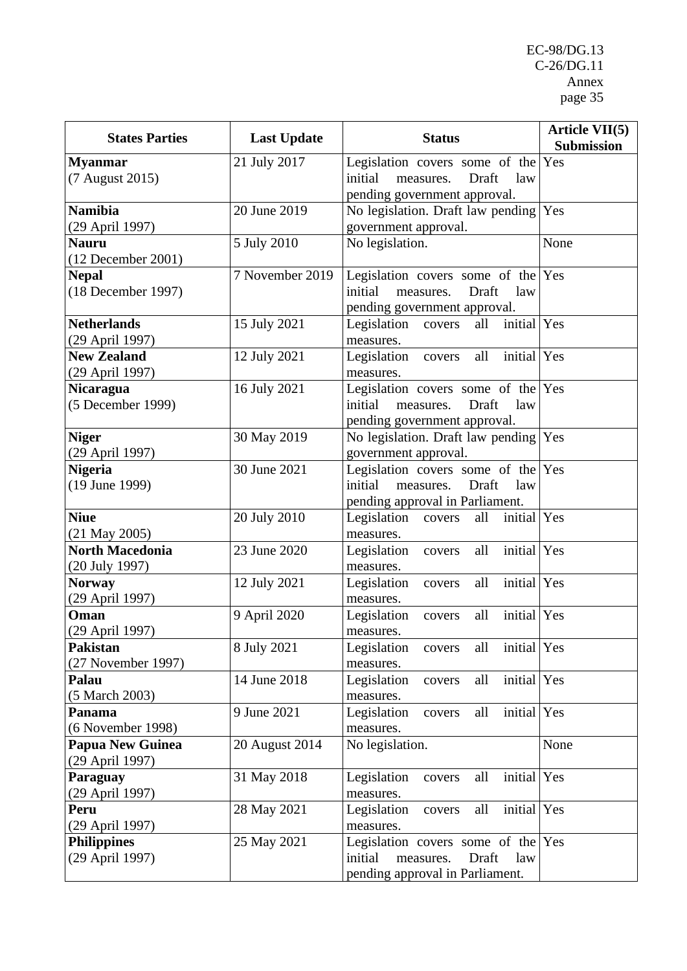| <b>States Parties</b>              | <b>Last Update</b> | <b>Status</b>                                                                | <b>Article VII(5)</b><br><b>Submission</b> |
|------------------------------------|--------------------|------------------------------------------------------------------------------|--------------------------------------------|
| <b>Myanmar</b>                     | 21 July 2017       | Legislation covers some of the Yes                                           |                                            |
| (7 August 2015)                    |                    | initial<br>Draft<br>measures.<br>law                                         |                                            |
|                                    |                    | pending government approval.                                                 |                                            |
| <b>Namibia</b>                     | 20 June 2019       | No legislation. Draft law pending Yes                                        |                                            |
| (29 April 1997)<br><b>Nauru</b>    | 5 July 2010        | government approval.<br>No legislation.                                      | None                                       |
| $(12$ December 2001)               |                    |                                                                              |                                            |
| <b>Nepal</b>                       | 7 November 2019    | Legislation covers some of the Yes                                           |                                            |
| (18 December 1997)                 |                    | initial measures.<br>Draft<br>law                                            |                                            |
|                                    |                    | pending government approval.                                                 |                                            |
| <b>Netherlands</b>                 | 15 July 2021       | Legislation covers<br>all<br>initial Yes                                     |                                            |
| (29 April 1997)                    |                    | measures.                                                                    |                                            |
| <b>New Zealand</b>                 | 12 July 2021       | initial Yes<br>Legislation covers<br>all                                     |                                            |
| (29 April 1997)                    |                    | measures.                                                                    |                                            |
| <b>Nicaragua</b>                   | 16 July 2021       | Legislation covers some of the Yes                                           |                                            |
| (5 December 1999)                  |                    | initial<br>Draft<br>measures.<br>law                                         |                                            |
|                                    |                    | pending government approval.                                                 |                                            |
| <b>Niger</b>                       | 30 May 2019        | No legislation. Draft law pending Yes                                        |                                            |
| (29 April 1997)<br><b>Nigeria</b>  | 30 June 2021       | government approval.<br>Legislation covers some of the Yes                   |                                            |
| (19 June 1999)                     |                    | initial measures.<br>Draft<br>law                                            |                                            |
|                                    |                    | pending approval in Parliament.                                              |                                            |
| <b>Niue</b>                        | 20 July 2010       | Legislation covers<br>all<br>initial Yes                                     |                                            |
| $(21$ May $2005)$                  |                    | measures.                                                                    |                                            |
| <b>North Macedonia</b>             | 23 June 2020       | initial Yes<br>Legislation<br>all<br>covers                                  |                                            |
| (20 July 1997)                     |                    | measures.                                                                    |                                            |
| <b>Norway</b>                      | 12 July 2021       | initial Yes<br>Legislation<br>all<br>covers                                  |                                            |
| (29 April 1997)                    |                    | measures.                                                                    |                                            |
| Oman                               | 9 April 2020       | Legislation<br>initial Yes<br>all<br>covers                                  |                                            |
| (29 April 1997)<br><b>Pakistan</b> |                    | measures.                                                                    |                                            |
| (27 November 1997)                 | 8 July 2021        | Legislation<br>initial Yes<br>all<br>covers<br>measures.                     |                                            |
| Palau                              | 14 June 2018       | initial Yes<br>Legislation<br>all<br>covers                                  |                                            |
| (5 March 2003)                     |                    | measures.                                                                    |                                            |
| Panama                             | 9 June 2021        | initial Yes<br>Legislation<br>all<br>covers                                  |                                            |
| (6 November 1998)                  |                    | measures.                                                                    |                                            |
| <b>Papua New Guinea</b>            | 20 August 2014     | No legislation.                                                              | None                                       |
| (29 April 1997)                    |                    |                                                                              |                                            |
| Paraguay                           | 31 May 2018        | Legislation<br>initial Yes<br>all<br>covers                                  |                                            |
| (29 April 1997)                    |                    | measures.                                                                    |                                            |
| Peru                               | 28 May 2021        | Legislation<br>initial Yes<br>all<br>covers                                  |                                            |
| (29 April 1997)                    |                    | measures.                                                                    |                                            |
| <b>Philippines</b>                 | 25 May 2021        | Legislation covers some of the $Yes$<br>Draft<br>initial<br>measures.<br>law |                                            |
| (29 April 1997)                    |                    | pending approval in Parliament.                                              |                                            |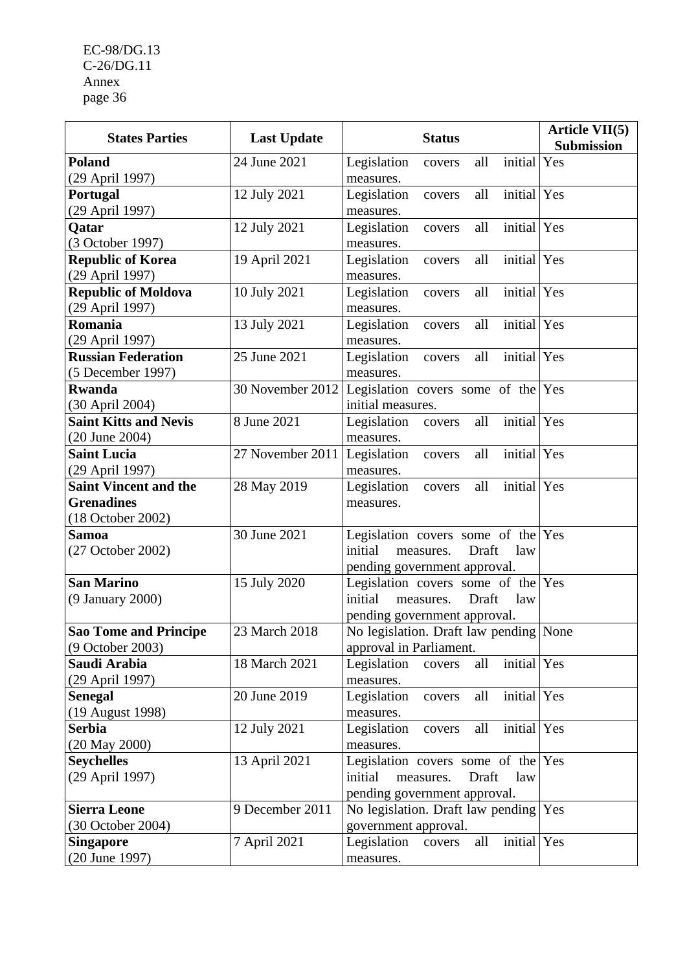| <b>States Parties</b>            | <b>Last Update</b> | <b>Status</b>                                         | Article $VII(5)$<br><b>Submission</b> |
|----------------------------------|--------------------|-------------------------------------------------------|---------------------------------------|
| <b>Poland</b>                    | 24 June 2021       | initial Yes<br>Legislation<br>all<br>covers           |                                       |
| (29 April 1997)                  |                    | measures.                                             |                                       |
| Portugal                         | 12 July 2021       | initial Yes<br>all<br>Legislation<br>covers           |                                       |
| (29 April 1997)                  |                    | measures.                                             |                                       |
| Qatar                            | 12 July 2021       | initial Yes<br>Legislation<br>all<br>covers           |                                       |
| (3 October 1997)                 |                    | measures.                                             |                                       |
| <b>Republic of Korea</b>         | 19 April 2021      | initial Yes<br>all<br>Legislation<br>covers           |                                       |
| (29 April 1997)                  |                    | measures.                                             |                                       |
| <b>Republic of Moldova</b>       | 10 July 2021       | initial Yes<br>all<br>Legislation<br>covers           |                                       |
| (29 April 1997)                  |                    | measures.                                             |                                       |
| Romania                          | 13 July 2021       | Legislation<br>initial Yes<br>all<br>covers           |                                       |
| (29 April 1997)                  |                    | measures.                                             |                                       |
| <b>Russian Federation</b>        | 25 June 2021       | initial Yes<br>Legislation<br>all<br>covers           |                                       |
| (5 December 1997)                |                    | measures.                                             |                                       |
| <b>Rwanda</b>                    | 30 November 2012   | Legislation covers some of the Yes                    |                                       |
| (30 April 2004)                  |                    | initial measures.                                     |                                       |
| <b>Saint Kitts and Nevis</b>     | 8 June 2021        | initial Yes<br>Legislation covers<br>all              |                                       |
| (20 June 2004)                   |                    | measures.                                             |                                       |
| <b>Saint Lucia</b>               | 27 November 2011   | initial Yes<br>Legislation covers<br>all              |                                       |
| (29 April 1997)                  |                    | measures.                                             |                                       |
| <b>Saint Vincent and the</b>     | 28 May 2019        | initial Yes<br>Legislation<br>all<br>covers           |                                       |
| <b>Grenadines</b>                |                    | measures.                                             |                                       |
| (18 October 2002)                |                    |                                                       |                                       |
| <b>Samoa</b>                     | 30 June 2021       | Legislation covers some of the Yes                    |                                       |
| (27 October 2002)                |                    | initial<br>Draft<br>measures.<br>law                  |                                       |
|                                  |                    | pending government approval.                          |                                       |
| <b>San Marino</b>                | 15 July 2020       | Legislation covers some of the Yes                    |                                       |
| (9 January 2000)                 |                    | initial<br>Draft<br>measures.<br>law                  |                                       |
|                                  |                    | pending government approval.                          |                                       |
| <b>Sao Tome and Principe</b>     | 23 March 2018      | No legislation. Draft law pending None                |                                       |
| (9 October 2003)<br>Saudi Arabia | 18 March 2021      | approval in Parliament.<br>Legislation<br>initial Yes |                                       |
| (29 April 1997)                  |                    | all<br>covers                                         |                                       |
| <b>Senegal</b>                   | 20 June 2019       | measures.<br>initial Yes<br>Legislation<br>all        |                                       |
| (19 August 1998)                 |                    | covers<br>measures.                                   |                                       |
| <b>Serbia</b>                    | 12 July 2021       | initial Yes<br>Legislation<br>all<br>covers           |                                       |
| (20 May 2000)                    |                    | measures.                                             |                                       |
| <b>Seychelles</b>                | 13 April 2021      | Legislation covers some of the Yes                    |                                       |
| (29 April 1997)                  |                    | Draft<br>initial<br>measures.<br>law                  |                                       |
|                                  |                    | pending government approval.                          |                                       |
| <b>Sierra Leone</b>              | 9 December 2011    | No legislation. Draft law pending Yes                 |                                       |
| (30 October 2004)                |                    | government approval.                                  |                                       |
| <b>Singapore</b>                 | 7 April 2021       | Legislation<br>all<br>initial Yes<br>covers           |                                       |
| (20 June 1997)                   |                    | measures.                                             |                                       |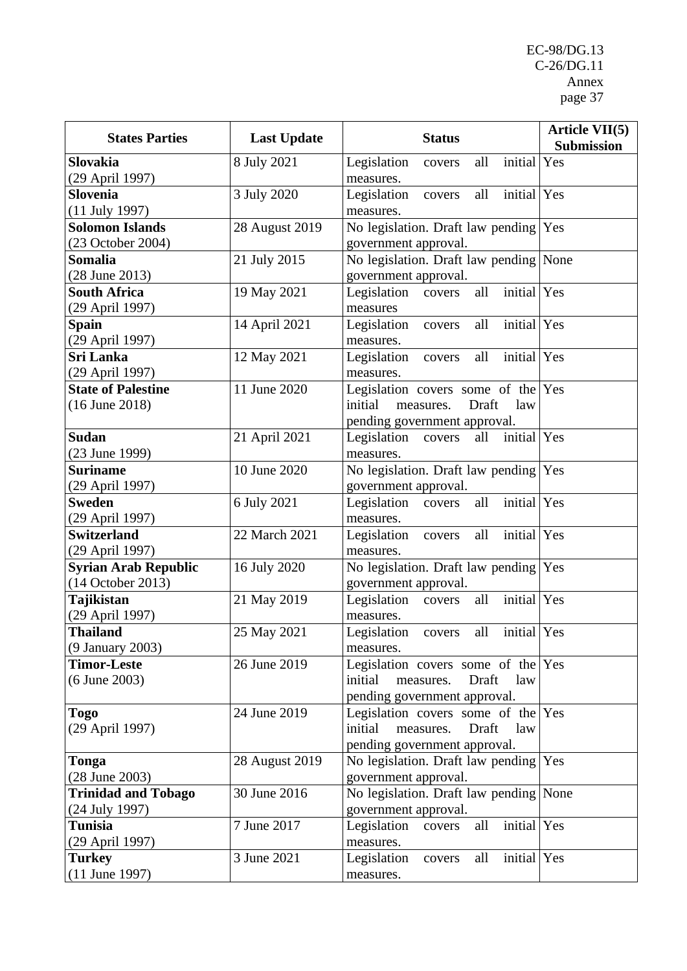| <b>States Parties</b>              | <b>Last Update</b> | <b>Status</b>                                   | <b>Article VII(5)</b><br><b>Submission</b> |
|------------------------------------|--------------------|-------------------------------------------------|--------------------------------------------|
| <b>Slovakia</b>                    | 8 July 2021        | initial Yes<br>Legislation<br>all<br>covers     |                                            |
| (29 April 1997)                    |                    | measures.                                       |                                            |
| <b>Slovenia</b>                    | 3 July 2020        | Legislation<br>initial Yes<br>all<br>covers     |                                            |
| $(11$ July 1997)                   |                    | measures.                                       |                                            |
| <b>Solomon Islands</b>             | 28 August 2019     | No legislation. Draft law pending $Yes$         |                                            |
| (23 October 2004)                  |                    | government approval.                            |                                            |
| <b>Somalia</b>                     | 21 July 2015       | No legislation. Draft law pending None          |                                            |
| (28 June 2013)                     |                    | government approval.                            |                                            |
| <b>South Africa</b>                | 19 May 2021        | all<br>initial Yes<br>Legislation covers        |                                            |
| (29 April 1997)                    |                    | measures                                        |                                            |
| <b>Spain</b>                       | 14 April 2021      | Legislation covers<br>all<br>initial Yes        |                                            |
| (29 April 1997)                    |                    | measures.                                       |                                            |
| <b>Sri Lanka</b>                   | 12 May 2021        | initial Yes<br>Legislation<br>all<br>covers     |                                            |
| (29 April 1997)                    |                    | measures.                                       |                                            |
| <b>State of Palestine</b>          | 11 June 2020       | Legislation covers some of the Yes              |                                            |
| $(16$ June 2018)                   |                    | initial<br>Draft<br>measures.<br>law            |                                            |
|                                    |                    | pending government approval.                    |                                            |
| <b>Sudan</b>                       | 21 April 2021      | initial Yes<br>Legislation covers<br>all        |                                            |
| (23 June 1999)                     |                    | measures.                                       |                                            |
| <b>Suriname</b>                    | 10 June 2020       | No legislation. Draft law pending Yes           |                                            |
| (29 April 1997)                    |                    | government approval.                            |                                            |
| <b>Sweden</b>                      | 6 July 2021        | initial Yes<br>Legislation covers<br>all        |                                            |
| (29 April 1997)                    |                    | measures.                                       |                                            |
| <b>Switzerland</b>                 | 22 March 2021      | initial Yes<br>all<br>Legislation covers        |                                            |
| (29 April 1997)                    |                    | measures.                                       |                                            |
| <b>Syrian Arab Republic</b>        | 16 July 2020       | No legislation. Draft law pending Yes           |                                            |
| (14 October 2013)                  |                    | government approval.                            |                                            |
| Tajikistan                         | 21 May 2019        | Legislation covers<br>initial Yes<br>all        |                                            |
| (29 April 1997)<br><b>Thailand</b> |                    | measures.<br>initial Yes                        |                                            |
| (9 January 2003)                   | 25 May 2021        | Legislation<br>all<br>covers                    |                                            |
| <b>Timor-Leste</b>                 | 26 June 2019       | measures.<br>Legislation covers some of the Yes |                                            |
| $(6 \text{ June } 2003)$           |                    | Draft<br>initial<br>law<br>measures.            |                                            |
|                                    |                    | pending government approval.                    |                                            |
| <b>Togo</b>                        | 24 June 2019       | Legislation covers some of the Yes              |                                            |
| (29 April 1997)                    |                    | initial<br>Draft<br>measures.<br>law            |                                            |
|                                    |                    | pending government approval.                    |                                            |
| Tonga                              | 28 August 2019     | No legislation. Draft law pending Yes           |                                            |
| (28 June 2003)                     |                    | government approval.                            |                                            |
| <b>Trinidad and Tobago</b>         | 30 June 2016       | No legislation. Draft law pending None          |                                            |
| (24 July 1997)                     |                    | government approval.                            |                                            |
| <b>Tunisia</b>                     | 7 June 2017        | initial Yes<br>Legislation<br>all<br>covers     |                                            |
| (29 April 1997)                    |                    | measures.                                       |                                            |
| <b>Turkey</b>                      | 3 June 2021        | Legislation<br>all<br>initial Yes<br>covers     |                                            |
| $(11$ June 1997)                   |                    | measures.                                       |                                            |